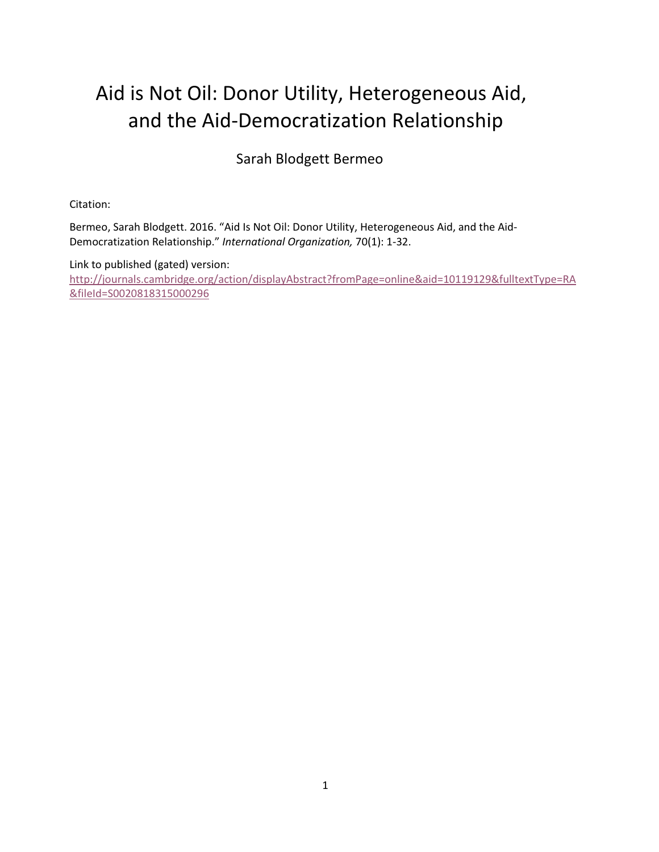# Aid is Not Oil: Donor Utility, Heterogeneous Aid, and the Aid-Democratization Relationship

Sarah Blodgett Bermeo

Citation:

Bermeo, Sarah Blodgett. 2016. "Aid Is Not Oil: Donor Utility, Heterogeneous Aid, and the Aid-Democratization Relationship." International Organization, 70(1): 1-32.

Link to published (gated) version: http://journals.cambridge.org/action/displayAbstract?fromPage=online&aid=10119129&fulltextType=RA &fileId=S0020818315000296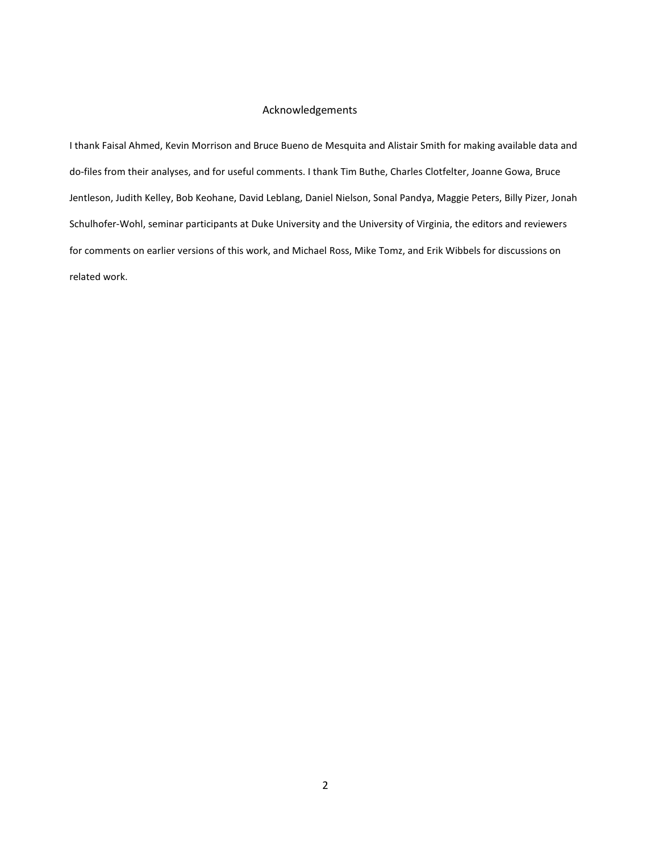#### Acknowledgements

I thank Faisal Ahmed, Kevin Morrison and Bruce Bueno de Mesquita and Alistair Smith for making available data and do-files from their analyses, and for useful comments. I thank Tim Buthe, Charles Clotfelter, Joanne Gowa, Bruce Jentleson, Judith Kelley, Bob Keohane, David Leblang, Daniel Nielson, Sonal Pandya, Maggie Peters, Billy Pizer, Jonah Schulhofer-Wohl, seminar participants at Duke University and the University of Virginia, the editors and reviewers for comments on earlier versions of this work, and Michael Ross, Mike Tomz, and Erik Wibbels for discussions on related work.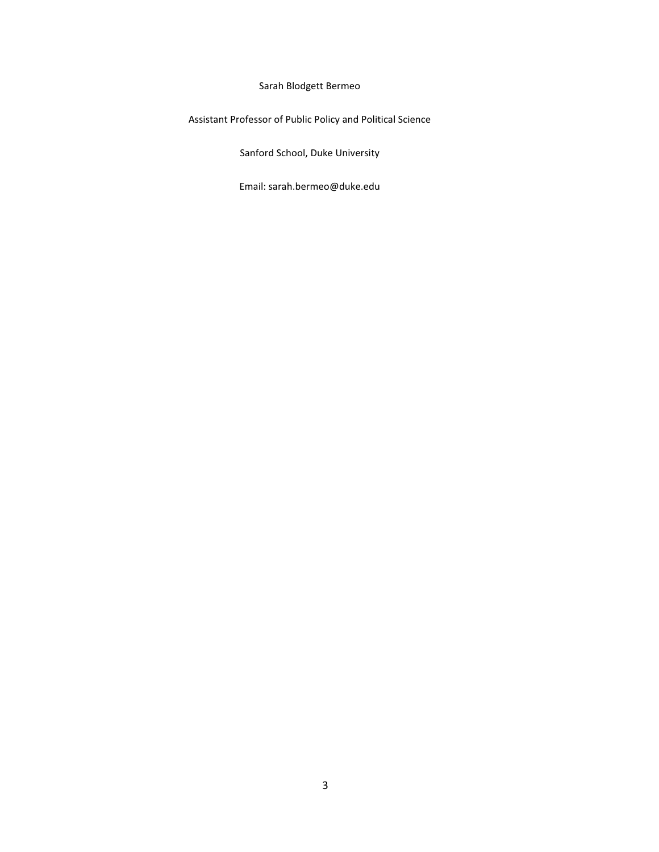Sarah Blodgett Bermeo

Assistant Professor of Public Policy and Political Science

Sanford School, Duke University

Email: sarah.bermeo@duke.edu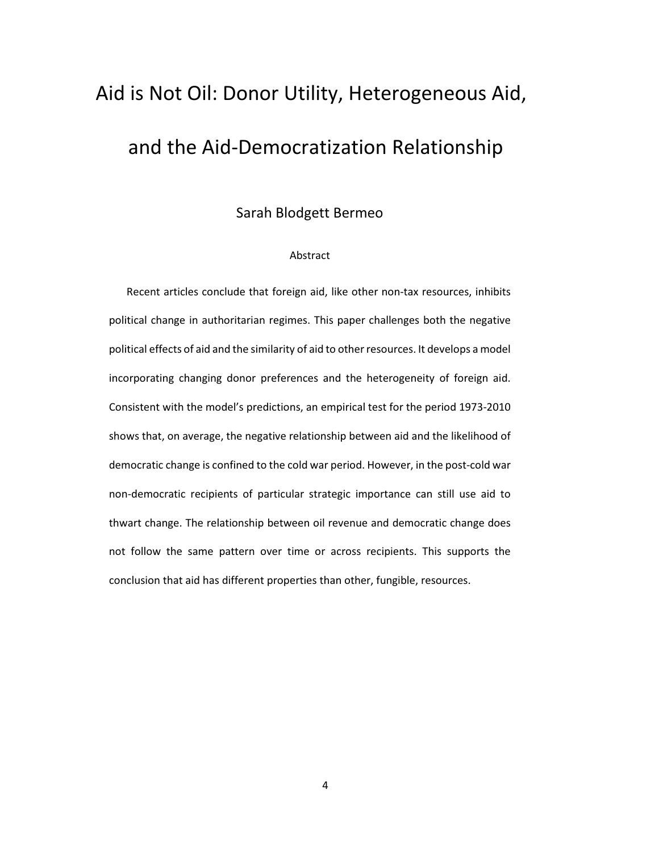# Aid is Not Oil: Donor Utility, Heterogeneous Aid, and the Aid-Democratization Relationship

Sarah Blodgett Bermeo

#### Abstract

Recent articles conclude that foreign aid, like other non-tax resources, inhibits political change in authoritarian regimes. This paper challenges both the negative political effects of aid and the similarity of aid to other resources. It develops a model incorporating changing donor preferences and the heterogeneity of foreign aid. Consistent with the model's predictions, an empirical test for the period 1973-2010 shows that, on average, the negative relationship between aid and the likelihood of democratic change is confined to the cold war period. However, in the post-cold war non-democratic recipients of particular strategic importance can still use aid to thwart change. The relationship between oil revenue and democratic change does not follow the same pattern over time or across recipients. This supports the conclusion that aid has different properties than other, fungible, resources.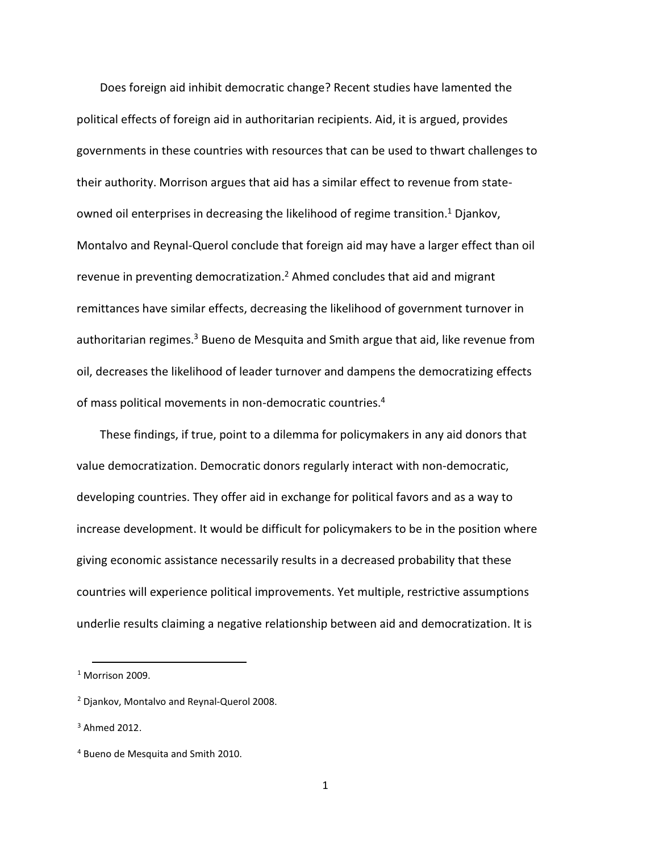Does foreign aid inhibit democratic change? Recent studies have lamented the political effects of foreign aid in authoritarian recipients. Aid, it is argued, provides governments in these countries with resources that can be used to thwart challenges to their authority. Morrison argues that aid has a similar effect to revenue from stateowned oil enterprises in decreasing the likelihood of regime transition.<sup>1</sup> Djankov, Montalvo and Reynal-Querol conclude that foreign aid may have a larger effect than oil revenue in preventing democratization.<sup>2</sup> Ahmed concludes that aid and migrant remittances have similar effects, decreasing the likelihood of government turnover in authoritarian regimes.<sup>3</sup> Bueno de Mesquita and Smith argue that aid, like revenue from oil, decreases the likelihood of leader turnover and dampens the democratizing effects of mass political movements in non-democratic countries.<sup>4</sup>

These findings, if true, point to a dilemma for policymakers in any aid donors that value democratization. Democratic donors regularly interact with non-democratic, developing countries. They offer aid in exchange for political favors and as a way to increase development. It would be difficult for policymakers to be in the position where giving economic assistance necessarily results in a decreased probability that these countries will experience political improvements. Yet multiple, restrictive assumptions underlie results claiming a negative relationship between aid and democratization. It is

 $<sup>1</sup>$  Morrison 2009.</sup>

<sup>2</sup> Djankov, Montalvo and Reynal-Querol 2008.

 $3$  Ahmed 2012.

<sup>4</sup> Bueno de Mesquita and Smith 2010.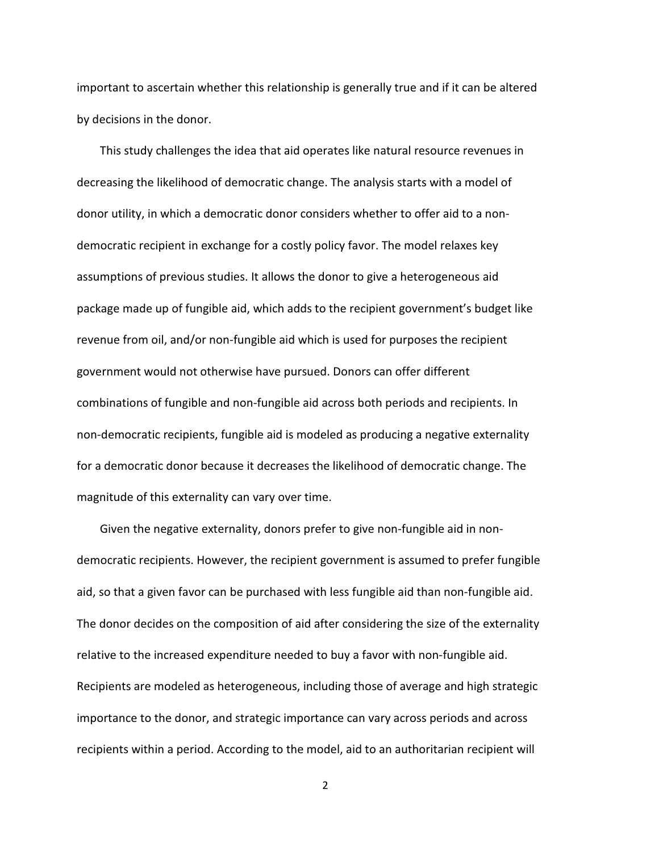important to ascertain whether this relationship is generally true and if it can be altered by decisions in the donor.

This study challenges the idea that aid operates like natural resource revenues in decreasing the likelihood of democratic change. The analysis starts with a model of donor utility, in which a democratic donor considers whether to offer aid to a nondemocratic recipient in exchange for a costly policy favor. The model relaxes key assumptions of previous studies. It allows the donor to give a heterogeneous aid package made up of fungible aid, which adds to the recipient government's budget like revenue from oil, and/or non-fungible aid which is used for purposes the recipient government would not otherwise have pursued. Donors can offer different combinations of fungible and non-fungible aid across both periods and recipients. In non-democratic recipients, fungible aid is modeled as producing a negative externality for a democratic donor because it decreases the likelihood of democratic change. The magnitude of this externality can vary over time.

Given the negative externality, donors prefer to give non-fungible aid in nondemocratic recipients. However, the recipient government is assumed to prefer fungible aid, so that a given favor can be purchased with less fungible aid than non-fungible aid. The donor decides on the composition of aid after considering the size of the externality relative to the increased expenditure needed to buy a favor with non-fungible aid. Recipients are modeled as heterogeneous, including those of average and high strategic importance to the donor, and strategic importance can vary across periods and across recipients within a period. According to the model, aid to an authoritarian recipient will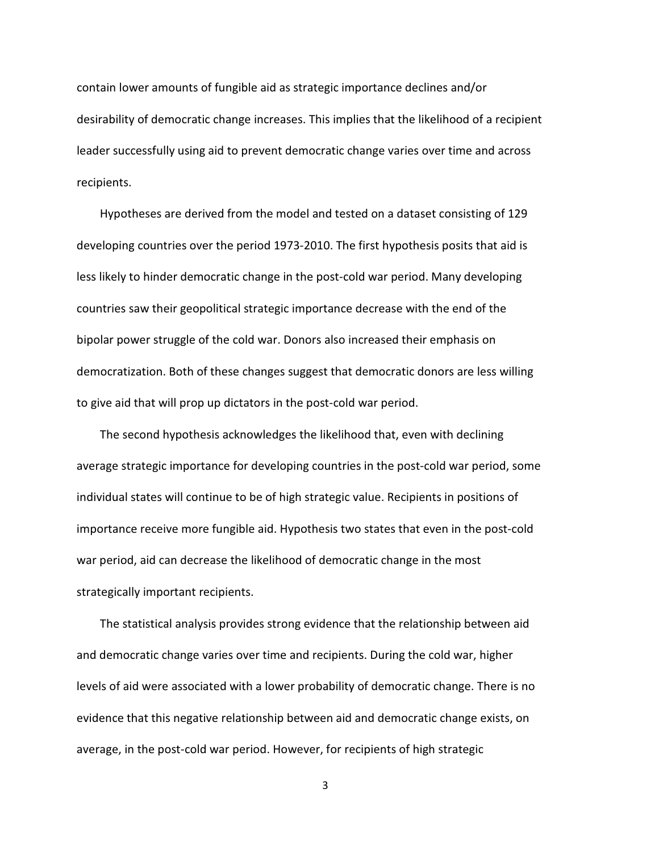contain lower amounts of fungible aid as strategic importance declines and/or desirability of democratic change increases. This implies that the likelihood of a recipient leader successfully using aid to prevent democratic change varies over time and across recipients.

Hypotheses are derived from the model and tested on a dataset consisting of 129 developing countries over the period 1973-2010. The first hypothesis posits that aid is less likely to hinder democratic change in the post-cold war period. Many developing countries saw their geopolitical strategic importance decrease with the end of the bipolar power struggle of the cold war. Donors also increased their emphasis on democratization. Both of these changes suggest that democratic donors are less willing to give aid that will prop up dictators in the post-cold war period.

The second hypothesis acknowledges the likelihood that, even with declining average strategic importance for developing countries in the post-cold war period, some individual states will continue to be of high strategic value. Recipients in positions of importance receive more fungible aid. Hypothesis two states that even in the post-cold war period, aid can decrease the likelihood of democratic change in the most strategically important recipients.

The statistical analysis provides strong evidence that the relationship between aid and democratic change varies over time and recipients. During the cold war, higher levels of aid were associated with a lower probability of democratic change. There is no evidence that this negative relationship between aid and democratic change exists, on average, in the post-cold war period. However, for recipients of high strategic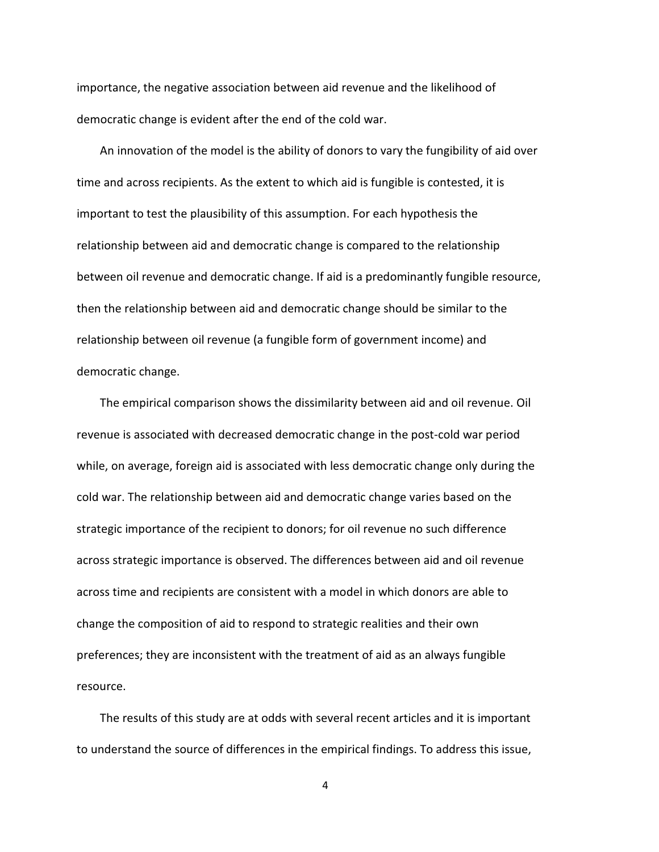importance, the negative association between aid revenue and the likelihood of democratic change is evident after the end of the cold war.

An innovation of the model is the ability of donors to vary the fungibility of aid over time and across recipients. As the extent to which aid is fungible is contested, it is important to test the plausibility of this assumption. For each hypothesis the relationship between aid and democratic change is compared to the relationship between oil revenue and democratic change. If aid is a predominantly fungible resource, then the relationship between aid and democratic change should be similar to the relationship between oil revenue (a fungible form of government income) and democratic change.

The empirical comparison shows the dissimilarity between aid and oil revenue. Oil revenue is associated with decreased democratic change in the post-cold war period while, on average, foreign aid is associated with less democratic change only during the cold war. The relationship between aid and democratic change varies based on the strategic importance of the recipient to donors; for oil revenue no such difference across strategic importance is observed. The differences between aid and oil revenue across time and recipients are consistent with a model in which donors are able to change the composition of aid to respond to strategic realities and their own preferences; they are inconsistent with the treatment of aid as an always fungible resource.

The results of this study are at odds with several recent articles and it is important to understand the source of differences in the empirical findings. To address this issue,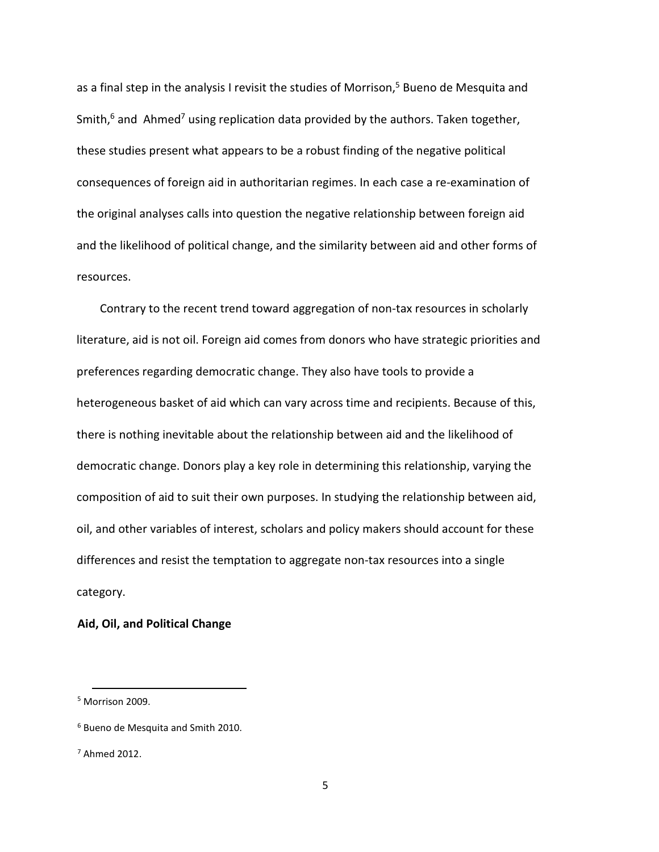as a final step in the analysis I revisit the studies of Morrison,<sup>5</sup> Bueno de Mesquita and Smith,<sup>6</sup> and Ahmed<sup>7</sup> using replication data provided by the authors. Taken together, these studies present what appears to be a robust finding of the negative political consequences of foreign aid in authoritarian regimes. In each case a re-examination of the original analyses calls into question the negative relationship between foreign aid and the likelihood of political change, and the similarity between aid and other forms of resources.

Contrary to the recent trend toward aggregation of non-tax resources in scholarly literature, aid is not oil. Foreign aid comes from donors who have strategic priorities and preferences regarding democratic change. They also have tools to provide a heterogeneous basket of aid which can vary across time and recipients. Because of this, there is nothing inevitable about the relationship between aid and the likelihood of democratic change. Donors play a key role in determining this relationship, varying the composition of aid to suit their own purposes. In studying the relationship between aid, oil, and other variables of interest, scholars and policy makers should account for these differences and resist the temptation to aggregate non-tax resources into a single category.

### Aid, Oil, and Political Change

<sup>5</sup> Morrison 2009.

<sup>&</sup>lt;sup>6</sup> Bueno de Mesquita and Smith 2010.

<sup>7</sup> Ahmed 2012.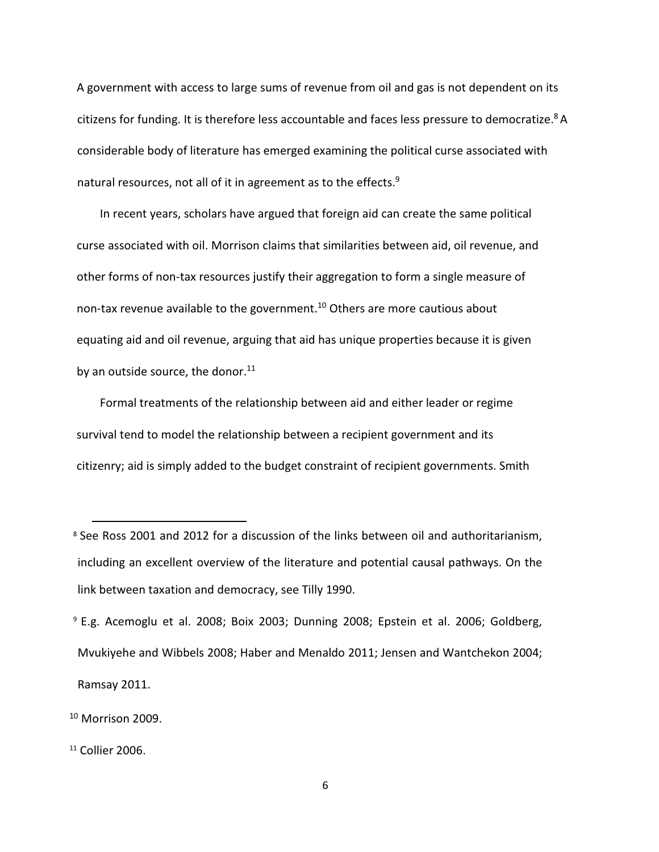A government with access to large sums of revenue from oil and gas is not dependent on its citizens for funding. It is therefore less accountable and faces less pressure to democratize.<sup>8</sup> A considerable body of literature has emerged examining the political curse associated with natural resources, not all of it in agreement as to the effects.<sup>9</sup>

In recent years, scholars have argued that foreign aid can create the same political curse associated with oil. Morrison claims that similarities between aid, oil revenue, and other forms of non-tax resources justify their aggregation to form a single measure of non-tax revenue available to the government.<sup>10</sup> Others are more cautious about equating aid and oil revenue, arguing that aid has unique properties because it is given by an outside source, the donor. $11$ 

Formal treatments of the relationship between aid and either leader or regime survival tend to model the relationship between a recipient government and its citizenry; aid is simply added to the budget constraint of recipient governments. Smith

<sup>&</sup>lt;sup>8</sup> See Ross 2001 and 2012 for a discussion of the links between oil and authoritarianism, including an excellent overview of the literature and potential causal pathways. On the link between taxation and democracy, see Tilly 1990.

<sup>&</sup>lt;sup>9</sup> E.g. Acemoglu et al. 2008; Boix 2003; Dunning 2008; Epstein et al. 2006; Goldberg, Mvukiyehe and Wibbels 2008; Haber and Menaldo 2011; Jensen and Wantchekon 2004; Ramsay 2011.

 $10$  Morrison 2009.

<sup>11</sup> Collier 2006.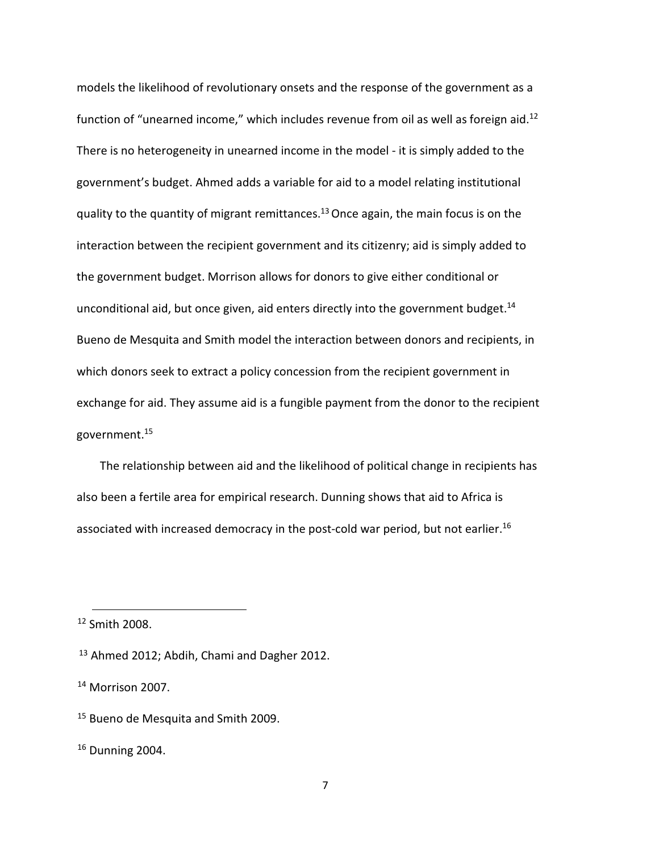models the likelihood of revolutionary onsets and the response of the government as a function of "unearned income," which includes revenue from oil as well as foreign aid.<sup>12</sup> There is no heterogeneity in unearned income in the model - it is simply added to the government's budget. Ahmed adds a variable for aid to a model relating institutional quality to the quantity of migrant remittances.<sup>13</sup> Once again, the main focus is on the interaction between the recipient government and its citizenry; aid is simply added to the government budget. Morrison allows for donors to give either conditional or unconditional aid, but once given, aid enters directly into the government budget.<sup>14</sup> Bueno de Mesquita and Smith model the interaction between donors and recipients, in which donors seek to extract a policy concession from the recipient government in exchange for aid. They assume aid is a fungible payment from the donor to the recipient government.<sup>15</sup>

The relationship between aid and the likelihood of political change in recipients has also been a fertile area for empirical research. Dunning shows that aid to Africa is associated with increased democracy in the post-cold war period, but not earlier.<sup>16</sup>

<sup>12</sup> Smith 2008.

<sup>&</sup>lt;sup>13</sup> Ahmed 2012; Abdih, Chami and Dagher 2012.

<sup>&</sup>lt;sup>14</sup> Morrison 2007.

<sup>&</sup>lt;sup>15</sup> Bueno de Mesquita and Smith 2009.

<sup>16</sup> Dunning 2004.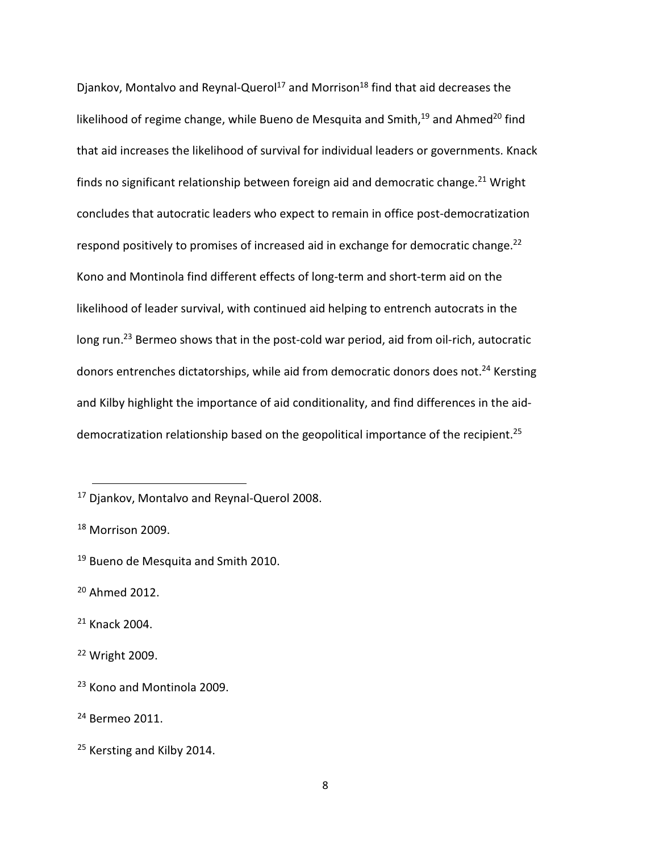Djankov, Montalvo and Reynal-Querol<sup>17</sup> and Morrison<sup>18</sup> find that aid decreases the likelihood of regime change, while Bueno de Mesquita and Smith, $19$  and Ahmed<sup>20</sup> find that aid increases the likelihood of survival for individual leaders or governments. Knack finds no significant relationship between foreign aid and democratic change.<sup>21</sup> Wright concludes that autocratic leaders who expect to remain in office post-democratization respond positively to promises of increased aid in exchange for democratic change.<sup>22</sup> Kono and Montinola find different effects of long-term and short-term aid on the likelihood of leader survival, with continued aid helping to entrench autocrats in the long run.<sup>23</sup> Bermeo shows that in the post-cold war period, aid from oil-rich, autocratic donors entrenches dictatorships, while aid from democratic donors does not.<sup>24</sup> Kersting and Kilby highlight the importance of aid conditionality, and find differences in the aiddemocratization relationship based on the geopolitical importance of the recipient.<sup>25</sup>

<u>.</u>

<sup>17</sup> Djankov, Montalvo and Reynal-Querol 2008.

<sup>&</sup>lt;sup>18</sup> Morrison 2009.

<sup>&</sup>lt;sup>19</sup> Bueno de Mesquita and Smith 2010.

<sup>20</sup> Ahmed 2012.

<sup>21</sup> Knack 2004.

<sup>22</sup> Wright 2009.

<sup>&</sup>lt;sup>23</sup> Kono and Montinola 2009.

<sup>24</sup> Bermeo 2011.

<sup>&</sup>lt;sup>25</sup> Kersting and Kilby 2014.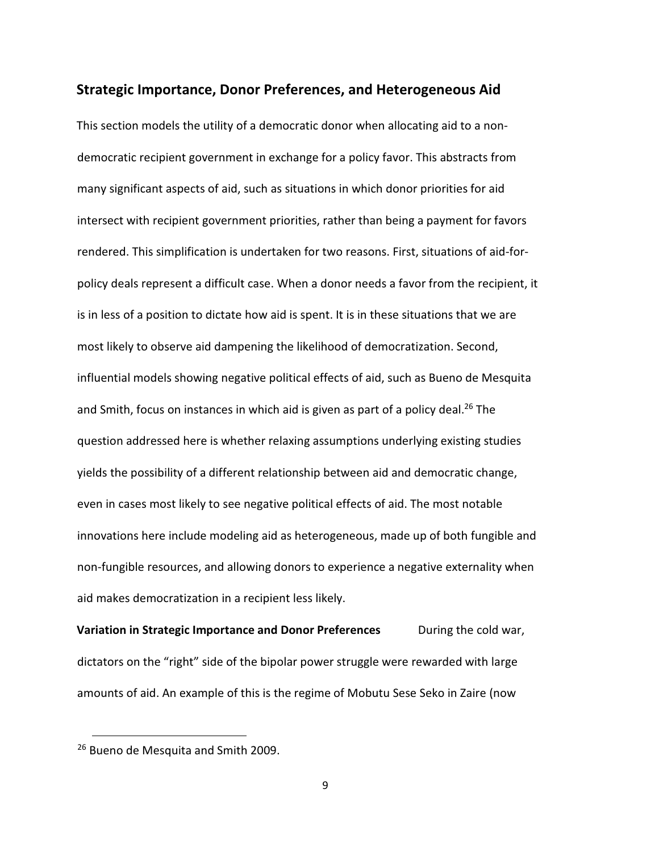#### Strategic Importance, Donor Preferences, and Heterogeneous Aid

This section models the utility of a democratic donor when allocating aid to a nondemocratic recipient government in exchange for a policy favor. This abstracts from many significant aspects of aid, such as situations in which donor priorities for aid intersect with recipient government priorities, rather than being a payment for favors rendered. This simplification is undertaken for two reasons. First, situations of aid-forpolicy deals represent a difficult case. When a donor needs a favor from the recipient, it is in less of a position to dictate how aid is spent. It is in these situations that we are most likely to observe aid dampening the likelihood of democratization. Second, influential models showing negative political effects of aid, such as Bueno de Mesquita and Smith, focus on instances in which aid is given as part of a policy deal.<sup>26</sup> The question addressed here is whether relaxing assumptions underlying existing studies yields the possibility of a different relationship between aid and democratic change, even in cases most likely to see negative political effects of aid. The most notable innovations here include modeling aid as heterogeneous, made up of both fungible and non-fungible resources, and allowing donors to experience a negative externality when aid makes democratization in a recipient less likely.

Variation in Strategic Importance and Donor Preferences During the cold war, dictators on the "right" side of the bipolar power struggle were rewarded with large amounts of aid. An example of this is the regime of Mobutu Sese Seko in Zaire (now

<sup>&</sup>lt;sup>26</sup> Bueno de Mesquita and Smith 2009.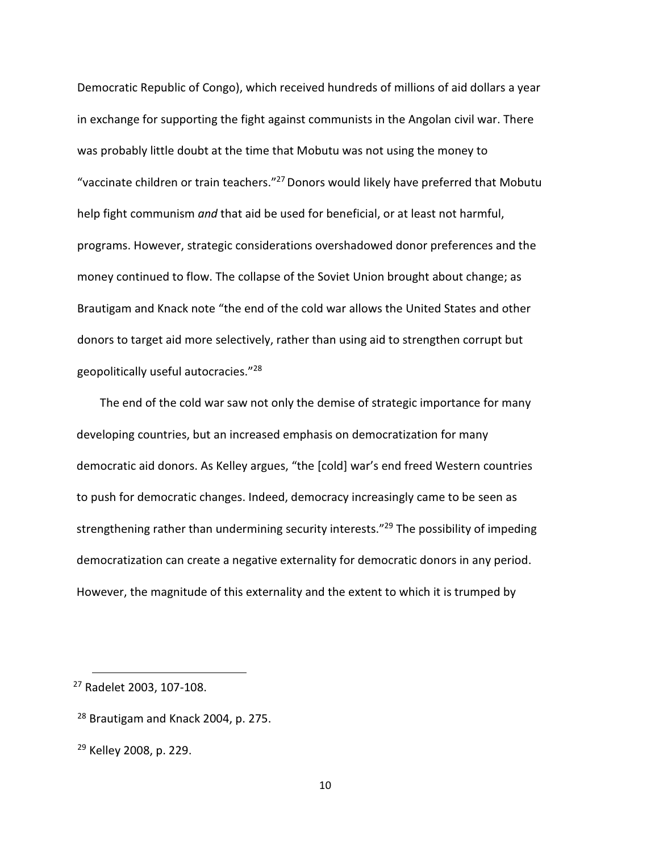Democratic Republic of Congo), which received hundreds of millions of aid dollars a year in exchange for supporting the fight against communists in the Angolan civil war. There was probably little doubt at the time that Mobutu was not using the money to "vaccinate children or train teachers."<sup>27</sup> Donors would likely have preferred that Mobutu help fight communism and that aid be used for beneficial, or at least not harmful, programs. However, strategic considerations overshadowed donor preferences and the money continued to flow. The collapse of the Soviet Union brought about change; as Brautigam and Knack note "the end of the cold war allows the United States and other donors to target aid more selectively, rather than using aid to strengthen corrupt but geopolitically useful autocracies."<sup>28</sup>

The end of the cold war saw not only the demise of strategic importance for many developing countries, but an increased emphasis on democratization for many democratic aid donors. As Kelley argues, "the [cold] war's end freed Western countries to push for democratic changes. Indeed, democracy increasingly came to be seen as strengthening rather than undermining security interests."<sup>29</sup> The possibility of impeding democratization can create a negative externality for democratic donors in any period. However, the magnitude of this externality and the extent to which it is trumped by

<sup>27</sup> Radelet 2003, 107-108.

<sup>28</sup> Brautigam and Knack 2004, p. 275.

<sup>29</sup> Kelley 2008, p. 229.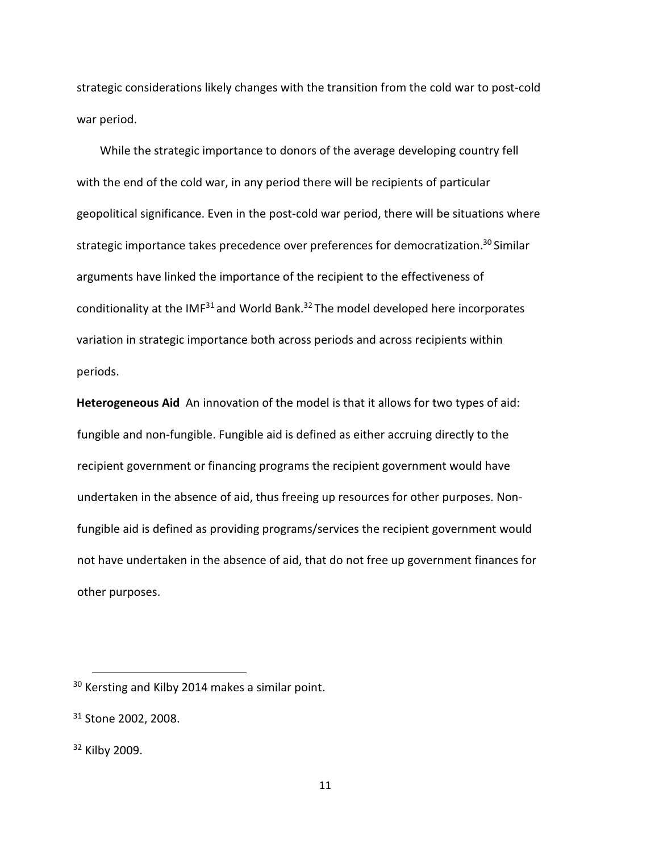strategic considerations likely changes with the transition from the cold war to post-cold war period.

While the strategic importance to donors of the average developing country fell with the end of the cold war, in any period there will be recipients of particular geopolitical significance. Even in the post-cold war period, there will be situations where strategic importance takes precedence over preferences for democratization.<sup>30</sup> Similar arguments have linked the importance of the recipient to the effectiveness of conditionality at the IMF<sup>31</sup> and World Bank.<sup>32</sup> The model developed here incorporates variation in strategic importance both across periods and across recipients within periods.

Heterogeneous Aid An innovation of the model is that it allows for two types of aid: fungible and non-fungible. Fungible aid is defined as either accruing directly to the recipient government or financing programs the recipient government would have undertaken in the absence of aid, thus freeing up resources for other purposes. Nonfungible aid is defined as providing programs/services the recipient government would not have undertaken in the absence of aid, that do not free up government finances for other purposes.

<sup>&</sup>lt;sup>30</sup> Kersting and Kilby 2014 makes a similar point.

<sup>&</sup>lt;sup>31</sup> Stone 2002, 2008.

<sup>32</sup> Kilby 2009.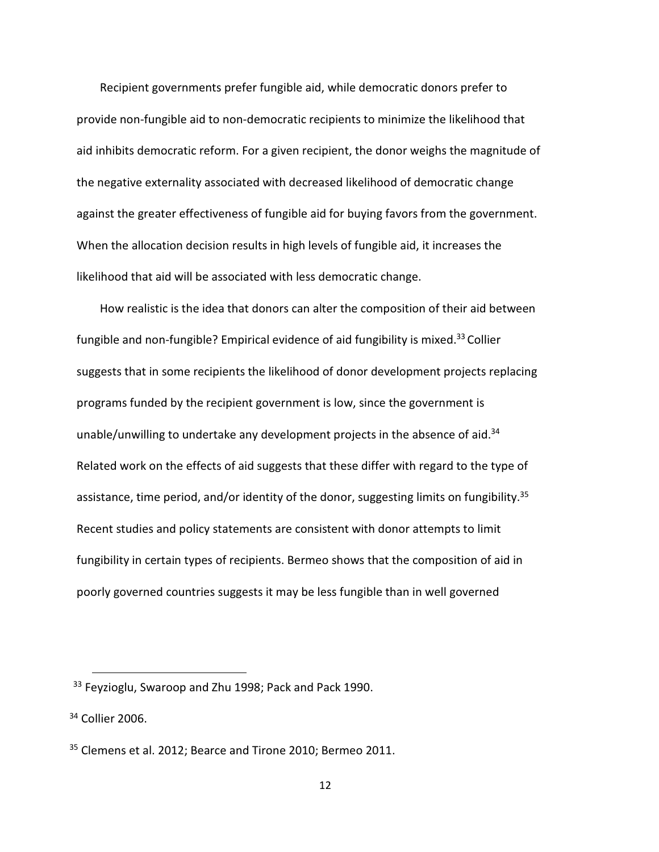Recipient governments prefer fungible aid, while democratic donors prefer to provide non-fungible aid to non-democratic recipients to minimize the likelihood that aid inhibits democratic reform. For a given recipient, the donor weighs the magnitude of the negative externality associated with decreased likelihood of democratic change against the greater effectiveness of fungible aid for buying favors from the government. When the allocation decision results in high levels of fungible aid, it increases the likelihood that aid will be associated with less democratic change.

How realistic is the idea that donors can alter the composition of their aid between fungible and non-fungible? Empirical evidence of aid fungibility is mixed.<sup>33</sup> Collier suggests that in some recipients the likelihood of donor development projects replacing programs funded by the recipient government is low, since the government is unable/unwilling to undertake any development projects in the absence of aid.<sup>34</sup> Related work on the effects of aid suggests that these differ with regard to the type of assistance, time period, and/or identity of the donor, suggesting limits on fungibility.<sup>35</sup> Recent studies and policy statements are consistent with donor attempts to limit fungibility in certain types of recipients. Bermeo shows that the composition of aid in poorly governed countries suggests it may be less fungible than in well governed

<sup>&</sup>lt;sup>33</sup> Feyzioglu, Swaroop and Zhu 1998; Pack and Pack 1990.

<sup>&</sup>lt;sup>34</sup> Collier 2006.

<sup>&</sup>lt;sup>35</sup> Clemens et al. 2012; Bearce and Tirone 2010; Bermeo 2011.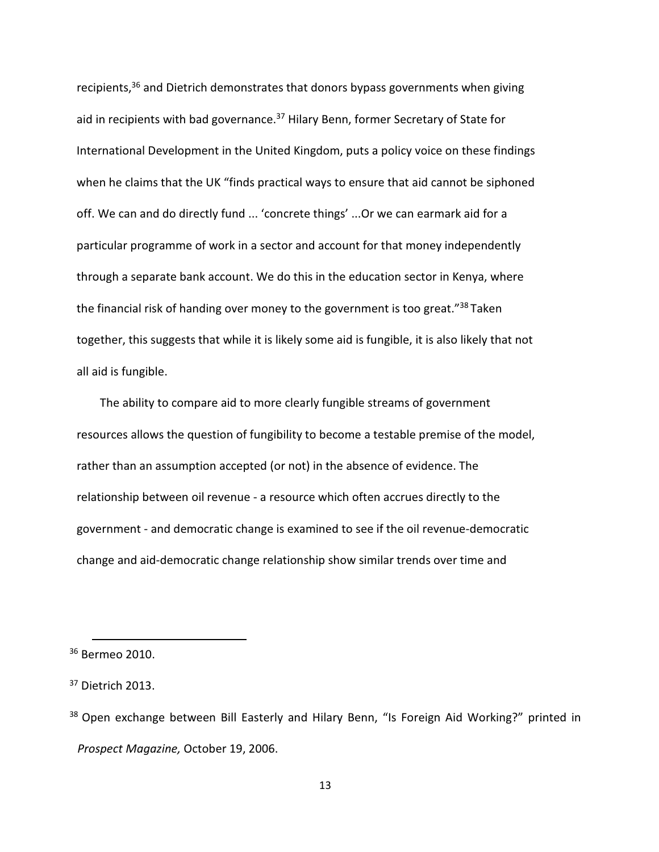recipients,<sup>36</sup> and Dietrich demonstrates that donors bypass governments when giving aid in recipients with bad governance.<sup>37</sup> Hilary Benn, former Secretary of State for International Development in the United Kingdom, puts a policy voice on these findings when he claims that the UK "finds practical ways to ensure that aid cannot be siphoned off. We can and do directly fund ... 'concrete things' ...Or we can earmark aid for a particular programme of work in a sector and account for that money independently through a separate bank account. We do this in the education sector in Kenya, where the financial risk of handing over money to the government is too great."<sup>38</sup> Taken together, this suggests that while it is likely some aid is fungible, it is also likely that not all aid is fungible.

The ability to compare aid to more clearly fungible streams of government resources allows the question of fungibility to become a testable premise of the model, rather than an assumption accepted (or not) in the absence of evidence. The relationship between oil revenue - a resource which often accrues directly to the government - and democratic change is examined to see if the oil revenue-democratic change and aid-democratic change relationship show similar trends over time and

<sup>&</sup>lt;sup>36</sup> Bermeo 2010.

<sup>&</sup>lt;sup>37</sup> Dietrich 2013.

<sup>&</sup>lt;sup>38</sup> Open exchange between Bill Easterly and Hilary Benn, "Is Foreign Aid Working?" printed in Prospect Magazine, October 19, 2006.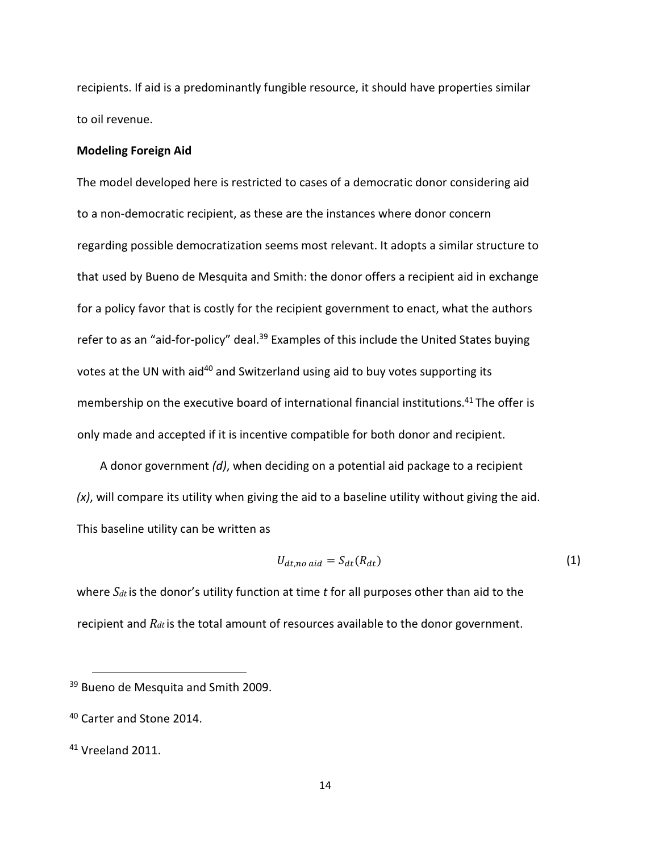recipients. If aid is a predominantly fungible resource, it should have properties similar to oil revenue.

#### Modeling Foreign Aid

The model developed here is restricted to cases of a democratic donor considering aid to a non-democratic recipient, as these are the instances where donor concern regarding possible democratization seems most relevant. It adopts a similar structure to that used by Bueno de Mesquita and Smith: the donor offers a recipient aid in exchange for a policy favor that is costly for the recipient government to enact, what the authors refer to as an "aid-for-policy" deal.<sup>39</sup> Examples of this include the United States buying votes at the UN with aid<sup>40</sup> and Switzerland using aid to buy votes supporting its membership on the executive board of international financial institutions.<sup>41</sup> The offer is only made and accepted if it is incentive compatible for both donor and recipient.

A donor government  $(d)$ , when deciding on a potential aid package to a recipient  $(x)$ , will compare its utility when giving the aid to a baseline utility without giving the aid. This baseline utility can be written as

$$
U_{dt,no\,\,aid} = S_{dt}(R_{dt})\tag{1}
$$

where  $S_{dt}$  is the donor's utility function at time t for all purposes other than aid to the recipient and  $R_{dt}$  is the total amount of resources available to the donor government.

<sup>&</sup>lt;sup>39</sup> Bueno de Mesquita and Smith 2009.

<sup>&</sup>lt;sup>40</sup> Carter and Stone 2014.

 $41$  Vreeland 2011.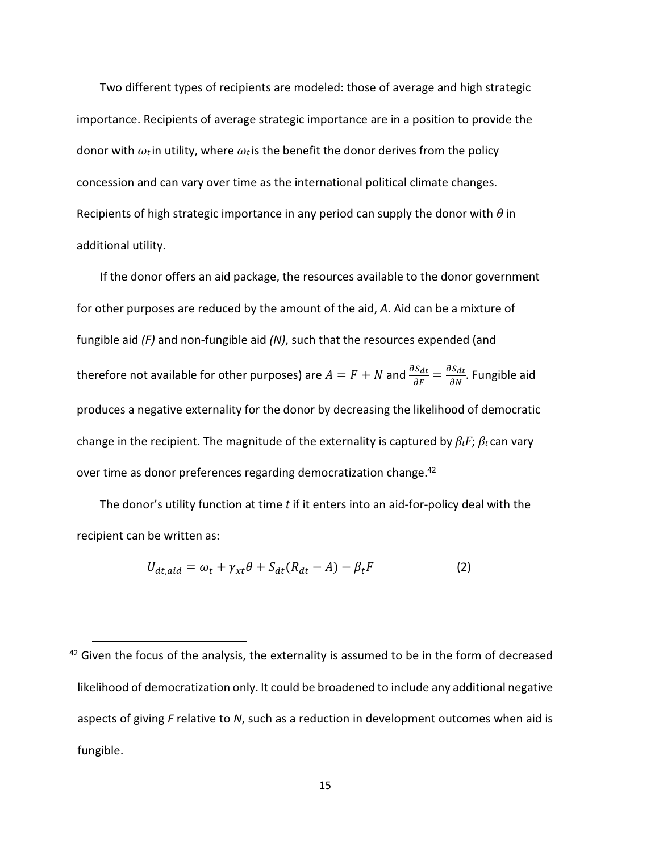Two different types of recipients are modeled: those of average and high strategic importance. Recipients of average strategic importance are in a position to provide the donor with  $\omega_t$  in utility, where  $\omega_t$  is the benefit the donor derives from the policy concession and can vary over time as the international political climate changes. Recipients of high strategic importance in any period can supply the donor with  $\theta$  in additional utility.

If the donor offers an aid package, the resources available to the donor government for other purposes are reduced by the amount of the aid, A. Aid can be a mixture of fungible aid  $(F)$  and non-fungible aid  $(N)$ , such that the resources expended (and therefore not available for other purposes) are  $A=F+N$  and  $\frac{\partial S_{dt}}{\partial F}=\frac{\partial S_{dt}}{\partial N}$ . Fungible aid produces a negative externality for the donor by decreasing the likelihood of democratic change in the recipient. The magnitude of the externality is captured by  $\beta_t F$ ;  $\beta_t$  can vary over time as donor preferences regarding democratization change.<sup>42</sup>

The donor's utility function at time  $t$  if it enters into an aid-for-policy deal with the recipient can be written as:

$$
U_{dt,aid} = \omega_t + \gamma_{xt}\theta + S_{dt}(R_{dt} - A) - \beta_t F
$$
 (2)

 $42$  Given the focus of the analysis, the externality is assumed to be in the form of decreased likelihood of democratization only. It could be broadened to include any additional negative aspects of giving  $F$  relative to  $N$ , such as a reduction in development outcomes when aid is fungible.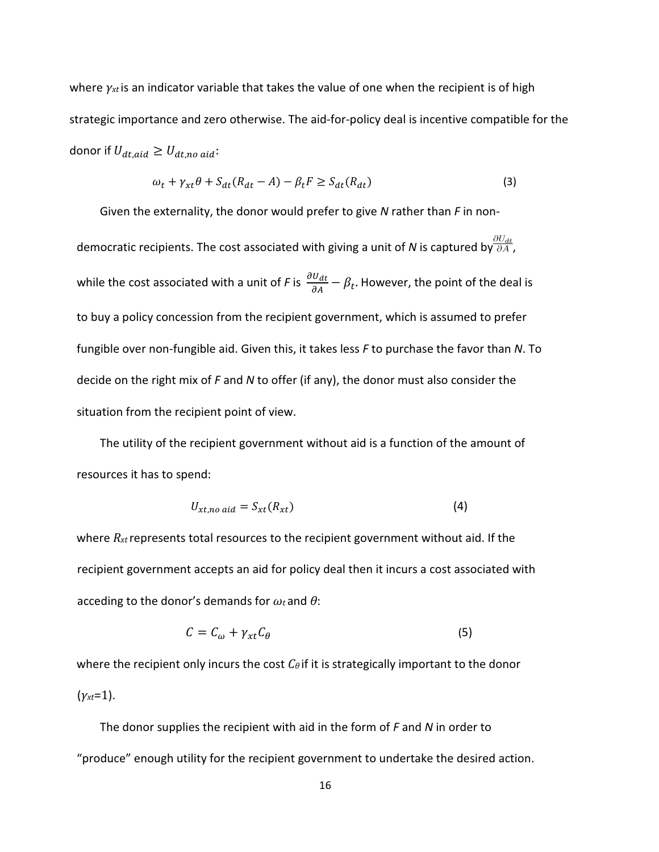where  $\gamma_{xt}$  is an indicator variable that takes the value of one when the recipient is of high strategic importance and zero otherwise. The aid-for-policy deal is incentive compatible for the donor if  $U_{dt,aid} \geq U_{dt,no\;aid}$ :

$$
\omega_t + \gamma_{xt}\theta + S_{dt}(R_{dt} - A) - \beta_t F \ge S_{dt}(R_{dt})
$$
\n(3)

Given the externality, the donor would prefer to give  $N$  rather than  $F$  in nondemocratic recipients. The cost associated with giving a unit of N is captured by  $\frac{\partial U_{dt}}{\partial A}$ , while the cost associated with a unit of F is  $\frac{\partial U_{dt}}{\partial A}-\beta_t$ . However, the point of the deal is to buy a policy concession from the recipient government, which is assumed to prefer fungible over non-fungible aid. Given this, it takes less  $F$  to purchase the favor than N. To decide on the right mix of F and N to offer (if any), the donor must also consider the situation from the recipient point of view.

The utility of the recipient government without aid is a function of the amount of resources it has to spend:

$$
U_{xt,no \text{ aid}} = S_{xt}(R_{xt})
$$
\n(4)

where  $R_{xt}$  represents total resources to the recipient government without aid. If the recipient government accepts an aid for policy deal then it incurs a cost associated with acceding to the donor's demands for  $\omega_t$  and  $\theta$ :

$$
C = C_{\omega} + \gamma_{xt} C_{\theta} \tag{5}
$$

where the recipient only incurs the cost  $C_{\theta}$  if it is strategically important to the donor  $(\gamma_{xt}=1)$ .

The donor supplies the recipient with aid in the form of  $F$  and  $N$  in order to "produce" enough utility for the recipient government to undertake the desired action.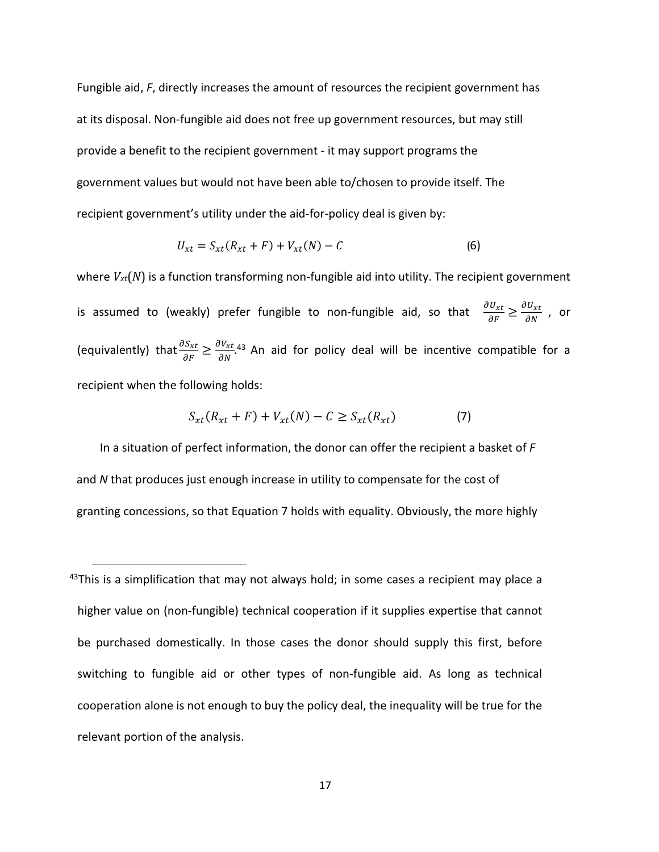Fungible aid, F, directly increases the amount of resources the recipient government has at its disposal. Non-fungible aid does not free up government resources, but may still provide a benefit to the recipient government - it may support programs the government values but would not have been able to/chosen to provide itself. The recipient government's utility under the aid-for-policy deal is given by:

$$
U_{xt} = S_{xt}(R_{xt} + F) + V_{xt}(N) - C
$$
 (6)

where  $V_{xt}(N)$  is a function transforming non-fungible aid into utility. The recipient government is assumed to (weakly) prefer fungible to non-fungible aid, so that  $\frac{\partial U_{xt}}{\partial F} \geq \frac{\partial U_{xt}}{\partial N}$  , or (equivalently) that  $\frac{\partial S_{xt}}{\partial F} \geq \frac{\partial V_{xt}}{\partial N}$ .<sup>43</sup> An aid for policy deal will be incentive compatible for a recipient when the following holds:

$$
S_{xt}(R_{xt} + F) + V_{xt}(N) - C \ge S_{xt}(R_{xt})
$$
\n<sup>(7)</sup>

In a situation of perfect information, the donor can offer the recipient a basket of  $F$ and N that produces just enough increase in utility to compensate for the cost of granting concessions, so that Equation 7 holds with equality. Obviously, the more highly

 $43$ This is a simplification that may not always hold; in some cases a recipient may place a higher value on (non-fungible) technical cooperation if it supplies expertise that cannot be purchased domestically. In those cases the donor should supply this first, before switching to fungible aid or other types of non-fungible aid. As long as technical cooperation alone is not enough to buy the policy deal, the inequality will be true for the relevant portion of the analysis.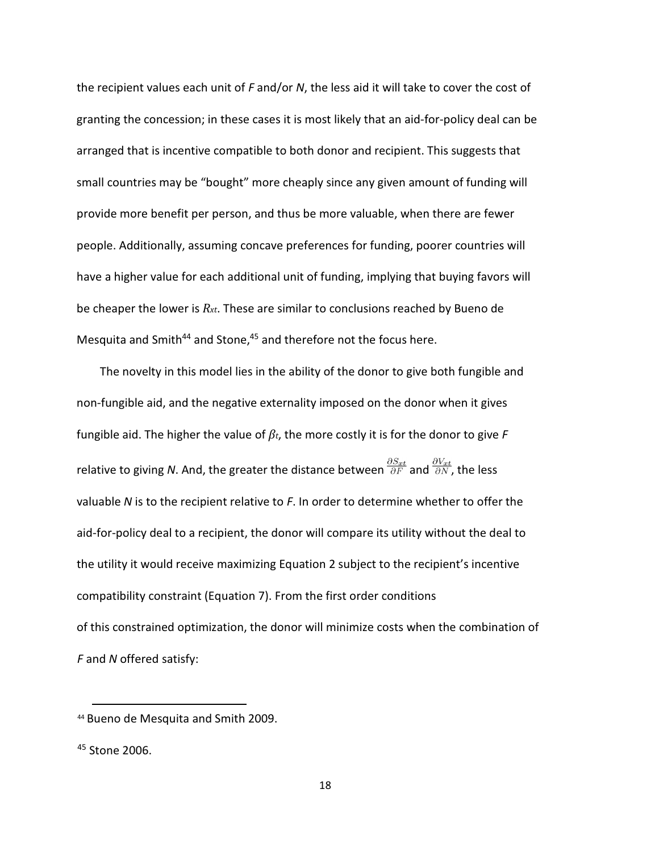the recipient values each unit of  $F$  and/or  $N$ , the less aid it will take to cover the cost of granting the concession; in these cases it is most likely that an aid-for-policy deal can be arranged that is incentive compatible to both donor and recipient. This suggests that small countries may be "bought" more cheaply since any given amount of funding will provide more benefit per person, and thus be more valuable, when there are fewer people. Additionally, assuming concave preferences for funding, poorer countries will have a higher value for each additional unit of funding, implying that buying favors will be cheaper the lower is  $R_{xt}$ . These are similar to conclusions reached by Bueno de Mesquita and Smith<sup>44</sup> and Stone,  $45$  and therefore not the focus here.

The novelty in this model lies in the ability of the donor to give both fungible and non-fungible aid, and the negative externality imposed on the donor when it gives fungible aid. The higher the value of  $\beta_t$ , the more costly it is for the donor to give F relative to giving N. And, the greater the distance between  $\frac{\partial S_{xt}}{\partial F}$  and  $\frac{\partial V_{xt}}{\partial N}$ , the less valuable N is to the recipient relative to  $F$ . In order to determine whether to offer the aid-for-policy deal to a recipient, the donor will compare its utility without the deal to the utility it would receive maximizing Equation 2 subject to the recipient's incentive compatibility constraint (Equation 7). From the first order conditions of this constrained optimization, the donor will minimize costs when the combination of F and N offered satisfy:

<sup>44</sup> Bueno de Mesquita and Smith 2009.

<sup>45</sup> Stone 2006.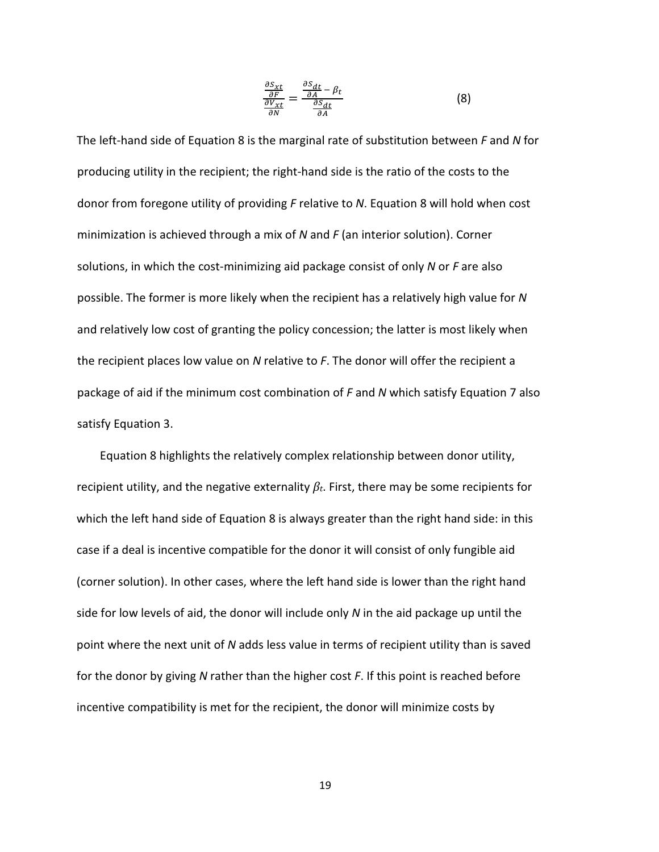$$
\frac{\frac{\partial S_{xt}}{\partial F}}{\frac{\partial V_{xt}}{\partial N}} = \frac{\frac{\partial S_{dt}}{\partial A} - \beta_t}{\frac{\partial S_{dt}}{\partial A}}
$$
(8)

The left-hand side of Equation 8 is the marginal rate of substitution between  $F$  and N for producing utility in the recipient; the right-hand side is the ratio of the costs to the donor from foregone utility of providing F relative to N. Equation 8 will hold when cost minimization is achieved through a mix of N and F (an interior solution). Corner solutions, in which the cost-minimizing aid package consist of only  $N$  or  $F$  are also possible. The former is more likely when the recipient has a relatively high value for N and relatively low cost of granting the policy concession; the latter is most likely when the recipient places low value on  $N$  relative to  $F$ . The donor will offer the recipient a package of aid if the minimum cost combination of F and N which satisfy Equation 7 also satisfy Equation 3.

Equation 8 highlights the relatively complex relationship between donor utility, recipient utility, and the negative externality  $\beta_t$ . First, there may be some recipients for which the left hand side of Equation 8 is always greater than the right hand side: in this case if a deal is incentive compatible for the donor it will consist of only fungible aid (corner solution). In other cases, where the left hand side is lower than the right hand side for low levels of aid, the donor will include only N in the aid package up until the point where the next unit of N adds less value in terms of recipient utility than is saved for the donor by giving N rather than the higher cost  $F$ . If this point is reached before incentive compatibility is met for the recipient, the donor will minimize costs by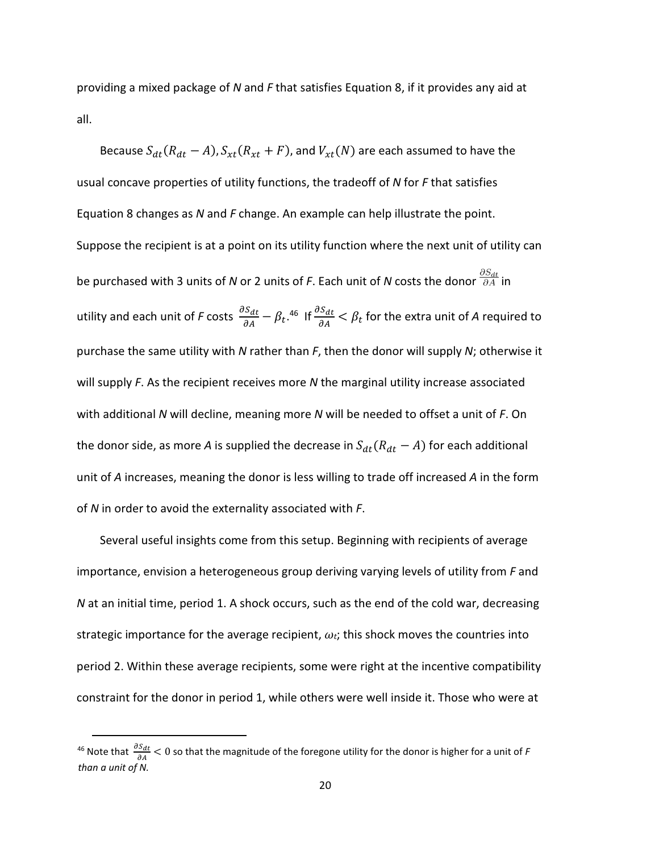providing a mixed package of  $N$  and  $F$  that satisfies Equation 8, if it provides any aid at all.

Because  $S_{dt}(R_{dt}-A)$ ,  $S_{xt}(R_{xt}+F)$ , and  $V_{xt}(N)$  are each assumed to have the usual concave properties of utility functions, the tradeoff of  $N$  for  $F$  that satisfies Equation 8 changes as N and F change. An example can help illustrate the point. Suppose the recipient is at a point on its utility function where the next unit of utility can be purchased with 3 units of N or 2 units of F. Each unit of N costs the donor  $\frac{\partial S_{dt}}{\partial A}$  in utility and each unit of F costs  $\frac{\partial S_{dt}}{\partial A}-\beta_t.$ <sup>46</sup> If  $\frac{\partial S_{dt}}{\partial A}<\beta_t$  for the extra unit of A required to purchase the same utility with N rather than  $F$ , then the donor will supply N; otherwise it will supply  $F$ . As the recipient receives more  $N$  the marginal utility increase associated with additional N will decline, meaning more N will be needed to offset a unit of  $F$ . On the donor side, as more A is supplied the decrease in  $S_{dt}(R_{dt}-A)$  for each additional unit of A increases, meaning the donor is less willing to trade off increased A in the form of  $N$  in order to avoid the externality associated with  $F$ .

Several useful insights come from this setup. Beginning with recipients of average importance, envision a heterogeneous group deriving varying levels of utility from  $F$  and N at an initial time, period 1. A shock occurs, such as the end of the cold war, decreasing strategic importance for the average recipient,  $\omega_t$ ; this shock moves the countries into period 2. Within these average recipients, some were right at the incentive compatibility constraint for the donor in period 1, while others were well inside it. Those who were at

<sup>&</sup>lt;sup>46</sup> Note that  $\frac{\partial S_{dt}}{\partial A}$   $< 0$  so that the magnitude of the foregone utility for the donor is higher for a unit of F than a unit of N.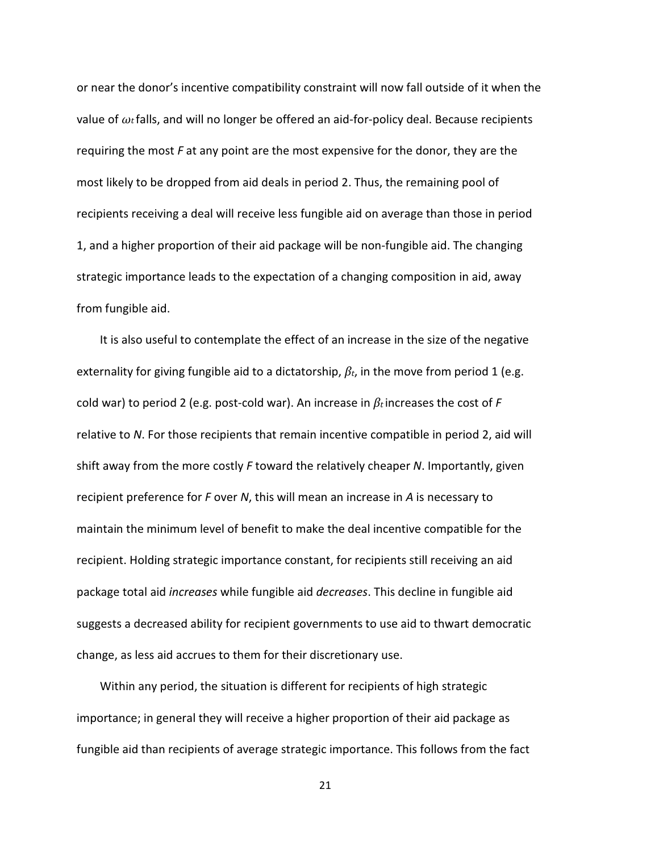or near the donor's incentive compatibility constraint will now fall outside of it when the value of  $\omega_t$  falls, and will no longer be offered an aid-for-policy deal. Because recipients requiring the most  $F$  at any point are the most expensive for the donor, they are the most likely to be dropped from aid deals in period 2. Thus, the remaining pool of recipients receiving a deal will receive less fungible aid on average than those in period 1, and a higher proportion of their aid package will be non-fungible aid. The changing strategic importance leads to the expectation of a changing composition in aid, away from fungible aid.

It is also useful to contemplate the effect of an increase in the size of the negative externality for giving fungible aid to a dictatorship,  $\beta_t$ , in the move from period 1 (e.g. cold war) to period 2 (e.g. post-cold war). An increase in  $\beta_t$  increases the cost of F relative to N. For those recipients that remain incentive compatible in period 2, aid will shift away from the more costly  $F$  toward the relatively cheaper N. Importantly, given recipient preference for  $F$  over  $N$ , this will mean an increase in  $A$  is necessary to maintain the minimum level of benefit to make the deal incentive compatible for the recipient. Holding strategic importance constant, for recipients still receiving an aid package total aid increases while fungible aid decreases. This decline in fungible aid suggests a decreased ability for recipient governments to use aid to thwart democratic change, as less aid accrues to them for their discretionary use.

Within any period, the situation is different for recipients of high strategic importance; in general they will receive a higher proportion of their aid package as fungible aid than recipients of average strategic importance. This follows from the fact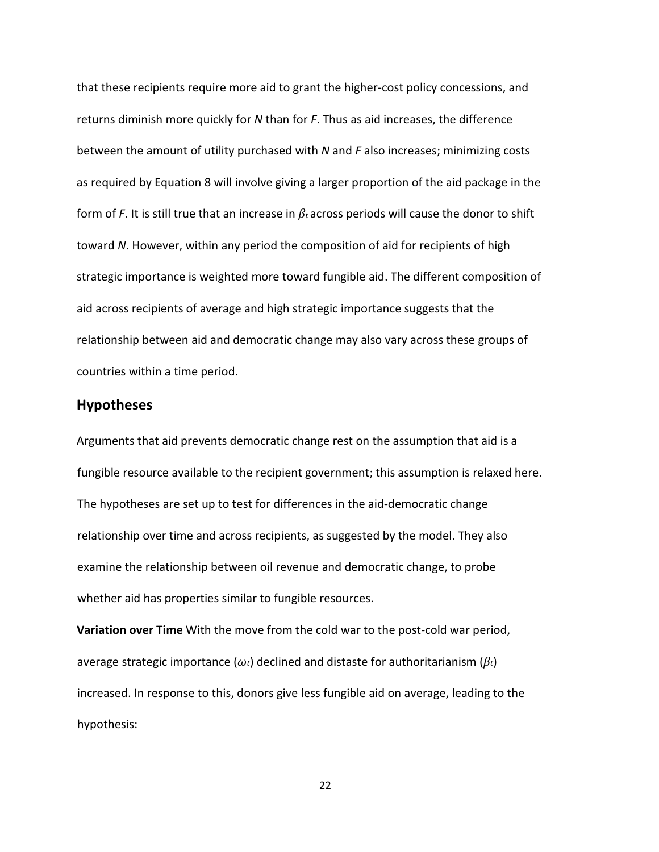that these recipients require more aid to grant the higher-cost policy concessions, and returns diminish more quickly for N than for F. Thus as aid increases, the difference between the amount of utility purchased with  $N$  and  $F$  also increases; minimizing costs as required by Equation 8 will involve giving a larger proportion of the aid package in the form of F. It is still true that an increase in  $\beta_t$  across periods will cause the donor to shift toward N. However, within any period the composition of aid for recipients of high strategic importance is weighted more toward fungible aid. The different composition of aid across recipients of average and high strategic importance suggests that the relationship between aid and democratic change may also vary across these groups of countries within a time period.

# Hypotheses

Arguments that aid prevents democratic change rest on the assumption that aid is a fungible resource available to the recipient government; this assumption is relaxed here. The hypotheses are set up to test for differences in the aid-democratic change relationship over time and across recipients, as suggested by the model. They also examine the relationship between oil revenue and democratic change, to probe whether aid has properties similar to fungible resources.

Variation over Time With the move from the cold war to the post-cold war period, average strategic importance ( $\omega_t$ ) declined and distaste for authoritarianism ( $\beta_t$ ) increased. In response to this, donors give less fungible aid on average, leading to the hypothesis: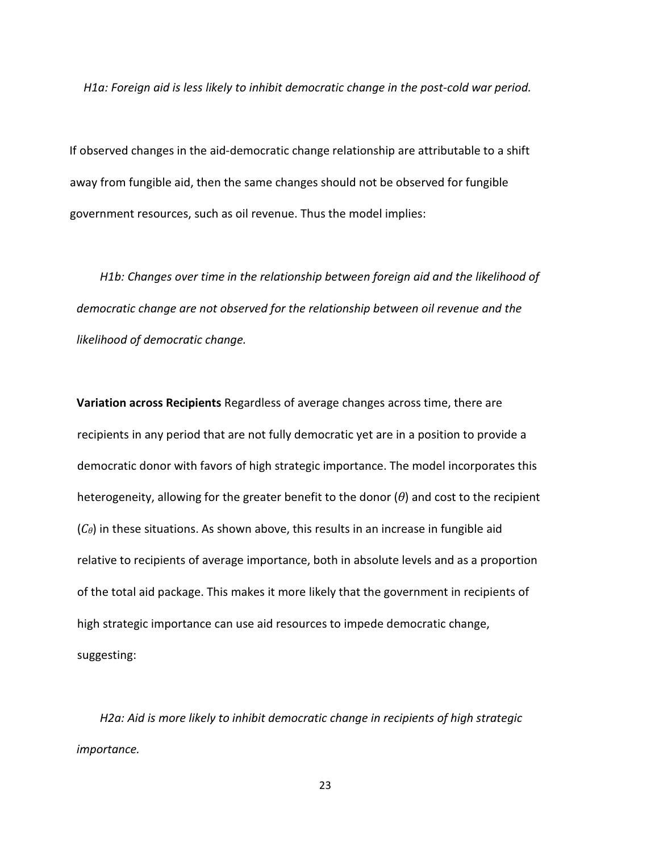H1a: Foreign aid is less likely to inhibit democratic change in the post-cold war period.

If observed changes in the aid-democratic change relationship are attributable to a shift away from fungible aid, then the same changes should not be observed for fungible government resources, such as oil revenue. Thus the model implies:

H1b: Changes over time in the relationship between foreign aid and the likelihood of democratic change are not observed for the relationship between oil revenue and the likelihood of democratic change.

Variation across Recipients Regardless of average changes across time, there are recipients in any period that are not fully democratic yet are in a position to provide a democratic donor with favors of high strategic importance. The model incorporates this heterogeneity, allowing for the greater benefit to the donor  $(\theta)$  and cost to the recipient  $(C_{\theta})$  in these situations. As shown above, this results in an increase in fungible aid relative to recipients of average importance, both in absolute levels and as a proportion of the total aid package. This makes it more likely that the government in recipients of high strategic importance can use aid resources to impede democratic change, suggesting:

H2a: Aid is more likely to inhibit democratic change in recipients of high strategic importance.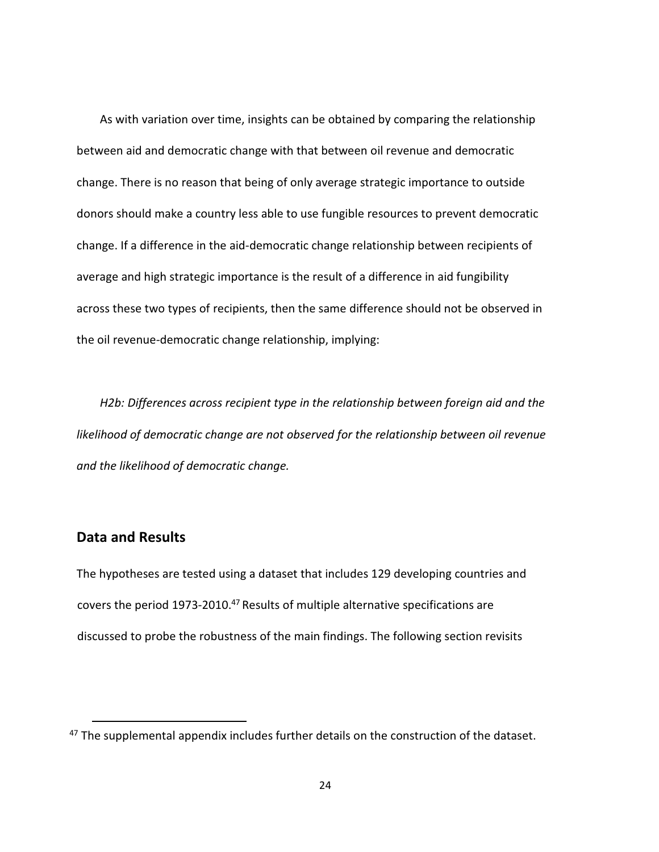As with variation over time, insights can be obtained by comparing the relationship between aid and democratic change with that between oil revenue and democratic change. There is no reason that being of only average strategic importance to outside donors should make a country less able to use fungible resources to prevent democratic change. If a difference in the aid-democratic change relationship between recipients of average and high strategic importance is the result of a difference in aid fungibility across these two types of recipients, then the same difference should not be observed in the oil revenue-democratic change relationship, implying:

H2b: Differences across recipient type in the relationship between foreign aid and the likelihood of democratic change are not observed for the relationship between oil revenue and the likelihood of democratic change.

# Data and Results

.

The hypotheses are tested using a dataset that includes 129 developing countries and covers the period  $1973-2010.<sup>47</sup>$  Results of multiple alternative specifications are discussed to probe the robustness of the main findings. The following section revisits

<sup>&</sup>lt;sup>47</sup> The supplemental appendix includes further details on the construction of the dataset.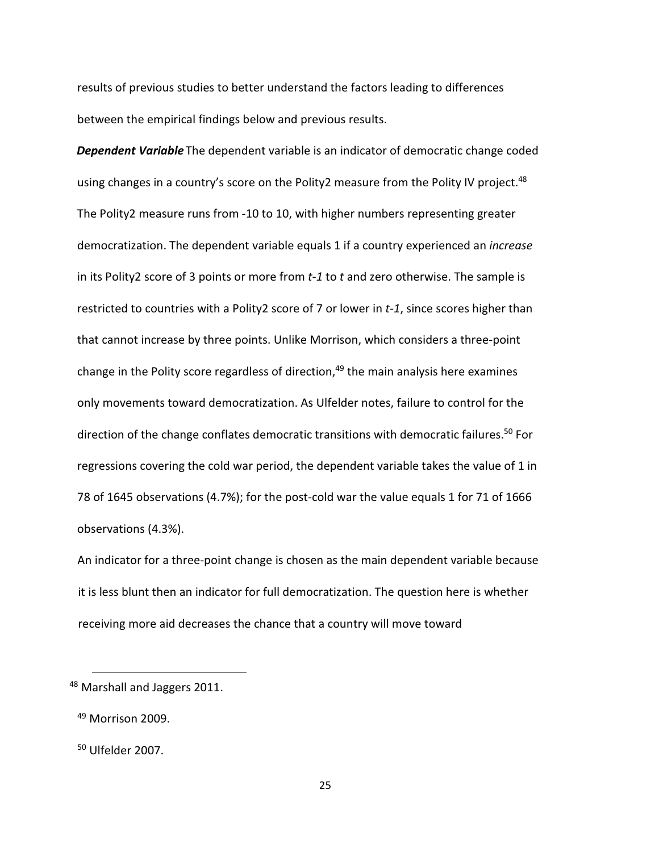results of previous studies to better understand the factors leading to differences between the empirical findings below and previous results.

**Dependent Variable** The dependent variable is an indicator of democratic change coded using changes in a country's score on the Polity2 measure from the Polity IV project.<sup>48</sup> The Polity2 measure runs from -10 to 10, with higher numbers representing greater democratization. The dependent variable equals 1 if a country experienced an *increase* in its Polity2 score of 3 points or more from  $t-1$  to t and zero otherwise. The sample is restricted to countries with a Polity2 score of 7 or lower in t-1, since scores higher than that cannot increase by three points. Unlike Morrison, which considers a three-point change in the Polity score regardless of direction, $49$  the main analysis here examines only movements toward democratization. As Ulfelder notes, failure to control for the direction of the change conflates democratic transitions with democratic failures.<sup>50</sup> For regressions covering the cold war period, the dependent variable takes the value of 1 in 78 of 1645 observations (4.7%); for the post-cold war the value equals 1 for 71 of 1666 observations (4.3%).

An indicator for a three-point change is chosen as the main dependent variable because it is less blunt then an indicator for full democratization. The question here is whether receiving more aid decreases the chance that a country will move toward

<sup>&</sup>lt;sup>48</sup> Marshall and Jaggers 2011.

 $49$  Morrison 2009.

<sup>50</sup> Ulfelder 2007.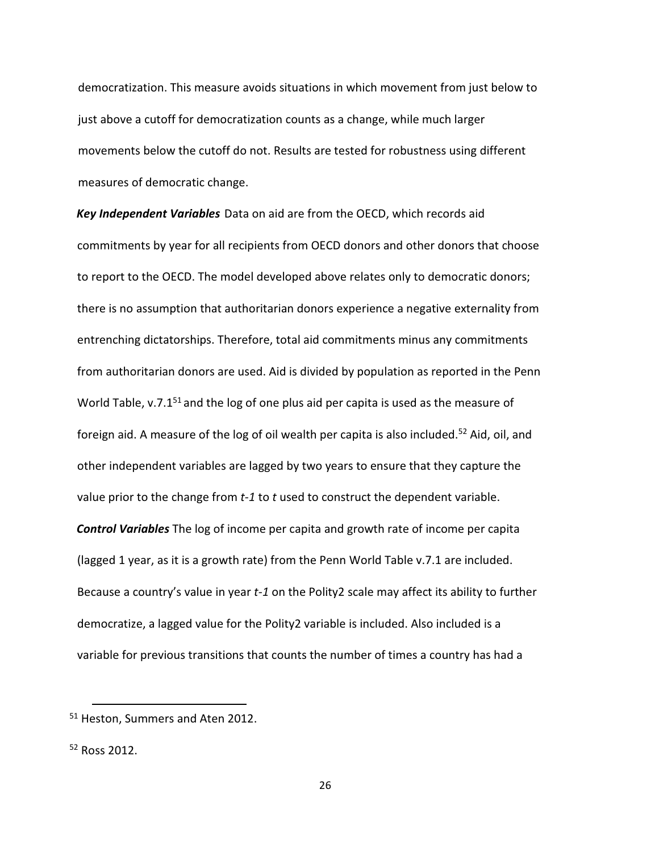democratization. This measure avoids situations in which movement from just below to just above a cutoff for democratization counts as a change, while much larger movements below the cutoff do not. Results are tested for robustness using different measures of democratic change.

Key Independent Variables Data on aid are from the OECD, which records aid commitments by year for all recipients from OECD donors and other donors that choose to report to the OECD. The model developed above relates only to democratic donors; there is no assumption that authoritarian donors experience a negative externality from entrenching dictatorships. Therefore, total aid commitments minus any commitments from authoritarian donors are used. Aid is divided by population as reported in the Penn World Table,  $v.7.1<sup>51</sup>$  and the log of one plus aid per capita is used as the measure of foreign aid. A measure of the log of oil wealth per capita is also included.<sup>52</sup> Aid, oil, and other independent variables are lagged by two years to ensure that they capture the value prior to the change from  $t-1$  to  $t$  used to construct the dependent variable. **Control Variables** The log of income per capita and growth rate of income per capita (lagged 1 year, as it is a growth rate) from the Penn World Table v.7.1 are included. Because a country's value in year t-1 on the Polity2 scale may affect its ability to further democratize, a lagged value for the Polity2 variable is included. Also included is a variable for previous transitions that counts the number of times a country has had a

<sup>51</sup> Heston, Summers and Aten 2012.

<sup>52</sup> Ross 2012.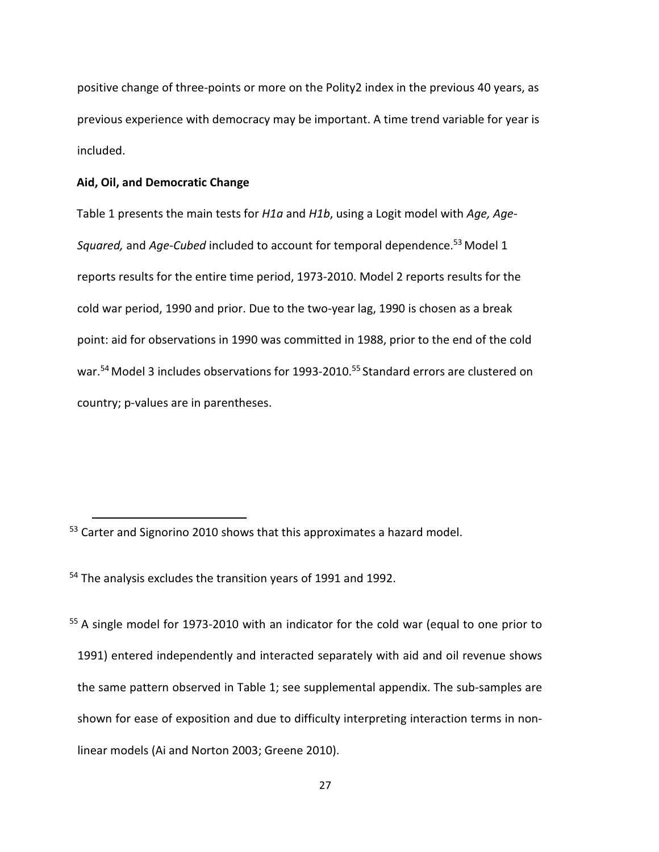positive change of three-points or more on the Polity2 index in the previous 40 years, as previous experience with democracy may be important. A time trend variable for year is included.

#### Aid, Oil, and Democratic Change

.

Table 1 presents the main tests for  $H1a$  and  $H1b$ , using a Logit model with Age, Age-Squared, and Age-Cubed included to account for temporal dependence.<sup>53</sup> Model 1 reports results for the entire time period, 1973-2010. Model 2 reports results for the cold war period, 1990 and prior. Due to the two-year lag, 1990 is chosen as a break point: aid for observations in 1990 was committed in 1988, prior to the end of the cold war.<sup>54</sup> Model 3 includes observations for 1993-2010.<sup>55</sup> Standard errors are clustered on country; p-values are in parentheses.

<sup>54</sup> The analysis excludes the transition years of 1991 and 1992.

<sup>55</sup> A single model for 1973-2010 with an indicator for the cold war (equal to one prior to 1991) entered independently and interacted separately with aid and oil revenue shows the same pattern observed in Table 1; see supplemental appendix. The sub-samples are shown for ease of exposition and due to difficulty interpreting interaction terms in nonlinear models (Ai and Norton 2003; Greene 2010).

<sup>&</sup>lt;sup>53</sup> Carter and Signorino 2010 shows that this approximates a hazard model.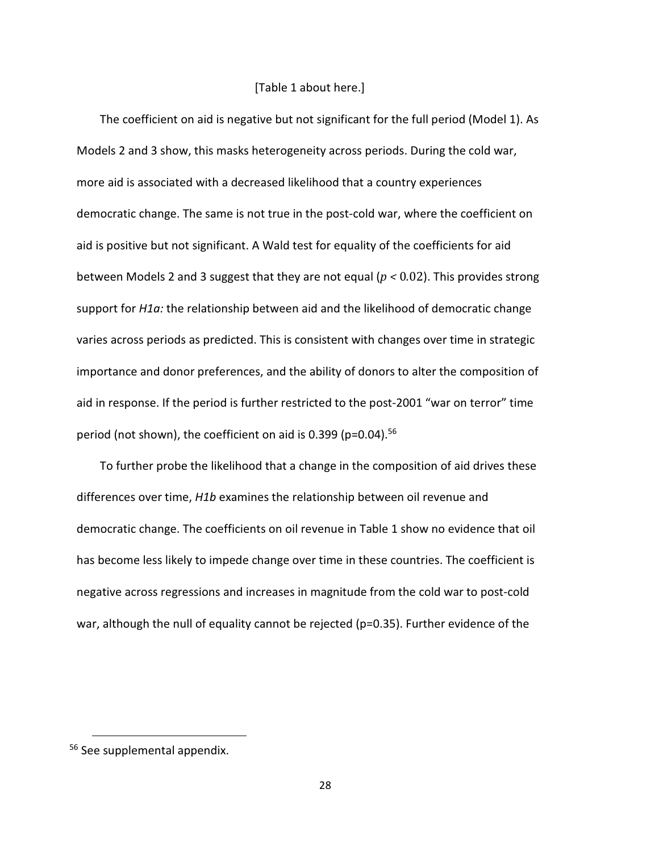#### [Table 1 about here.]

The coefficient on aid is negative but not significant for the full period (Model 1). As Models 2 and 3 show, this masks heterogeneity across periods. During the cold war, more aid is associated with a decreased likelihood that a country experiences democratic change. The same is not true in the post-cold war, where the coefficient on aid is positive but not significant. A Wald test for equality of the coefficients for aid between Models 2 and 3 suggest that they are not equal ( $p < 0.02$ ). This provides strong support for H1a: the relationship between aid and the likelihood of democratic change varies across periods as predicted. This is consistent with changes over time in strategic importance and donor preferences, and the ability of donors to alter the composition of aid in response. If the period is further restricted to the post-2001 "war on terror" time period (not shown), the coefficient on aid is 0.399 (p=0.04).<sup>56</sup>

To further probe the likelihood that a change in the composition of aid drives these differences over time, H1b examines the relationship between oil revenue and democratic change. The coefficients on oil revenue in Table 1 show no evidence that oil has become less likely to impede change over time in these countries. The coefficient is negative across regressions and increases in magnitude from the cold war to post-cold war, although the null of equality cannot be rejected (p=0.35). Further evidence of the

<sup>56</sup> See supplemental appendix.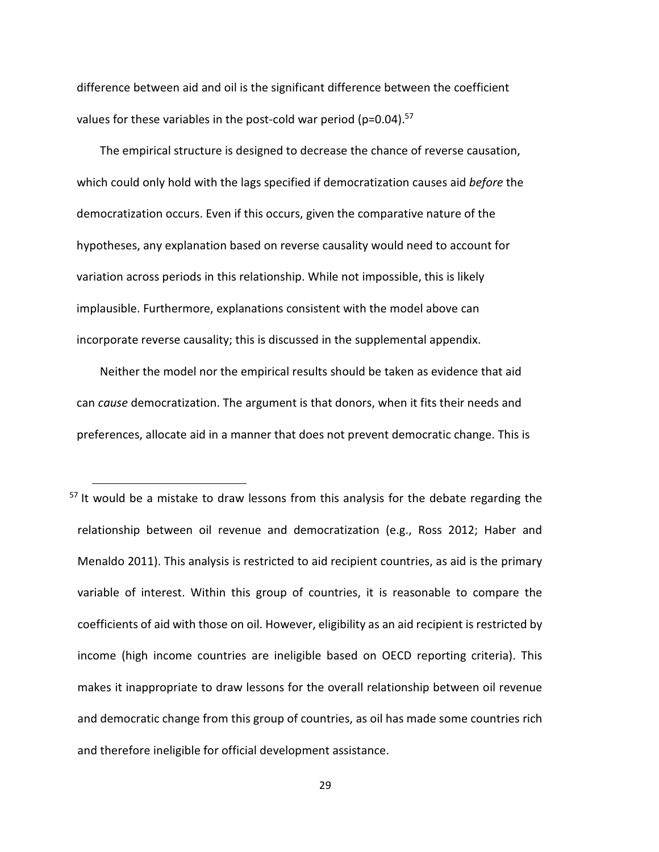difference between aid and oil is the significant difference between the coefficient values for these variables in the post-cold war period ( $p=0.04$ ).<sup>57</sup>

The empirical structure is designed to decrease the chance of reverse causation, which could only hold with the lags specified if democratization causes aid before the democratization occurs. Even if this occurs, given the comparative nature of the hypotheses, any explanation based on reverse causality would need to account for variation across periods in this relationship. While not impossible, this is likely implausible. Furthermore, explanations consistent with the model above can incorporate reverse causality; this is discussed in the supplemental appendix.

Neither the model nor the empirical results should be taken as evidence that aid can cause democratization. The argument is that donors, when it fits their needs and preferences, allocate aid in a manner that does not prevent democratic change. This is

<u>.</u>

 $57$  It would be a mistake to draw lessons from this analysis for the debate regarding the relationship between oil revenue and democratization (e.g., Ross 2012; Haber and Menaldo 2011). This analysis is restricted to aid recipient countries, as aid is the primary variable of interest. Within this group of countries, it is reasonable to compare the coefficients of aid with those on oil. However, eligibility as an aid recipient is restricted by income (high income countries are ineligible based on OECD reporting criteria). This makes it inappropriate to draw lessons for the overall relationship between oil revenue and democratic change from this group of countries, as oil has made some countries rich and therefore ineligible for official development assistance.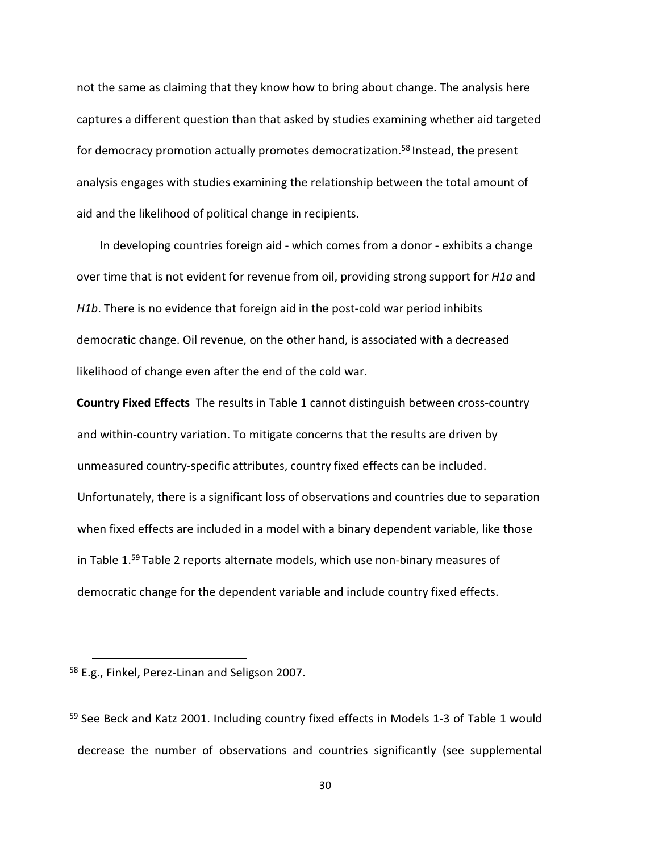not the same as claiming that they know how to bring about change. The analysis here captures a different question than that asked by studies examining whether aid targeted for democracy promotion actually promotes democratization.<sup>58</sup> Instead, the present analysis engages with studies examining the relationship between the total amount of aid and the likelihood of political change in recipients.

In developing countries foreign aid - which comes from a donor - exhibits a change over time that is not evident for revenue from oil, providing strong support for *H1a* and H1b. There is no evidence that foreign aid in the post-cold war period inhibits democratic change. Oil revenue, on the other hand, is associated with a decreased likelihood of change even after the end of the cold war.

Country Fixed Effects The results in Table 1 cannot distinguish between cross-country and within-country variation. To mitigate concerns that the results are driven by unmeasured country-specific attributes, country fixed effects can be included. Unfortunately, there is a significant loss of observations and countries due to separation when fixed effects are included in a model with a binary dependent variable, like those in Table 1.<sup>59</sup> Table 2 reports alternate models, which use non-binary measures of democratic change for the dependent variable and include country fixed effects.

<u>.</u>

<sup>58</sup> E.g., Finkel, Perez-Linan and Seligson 2007.

<sup>59</sup> See Beck and Katz 2001. Including country fixed effects in Models 1-3 of Table 1 would decrease the number of observations and countries significantly (see supplemental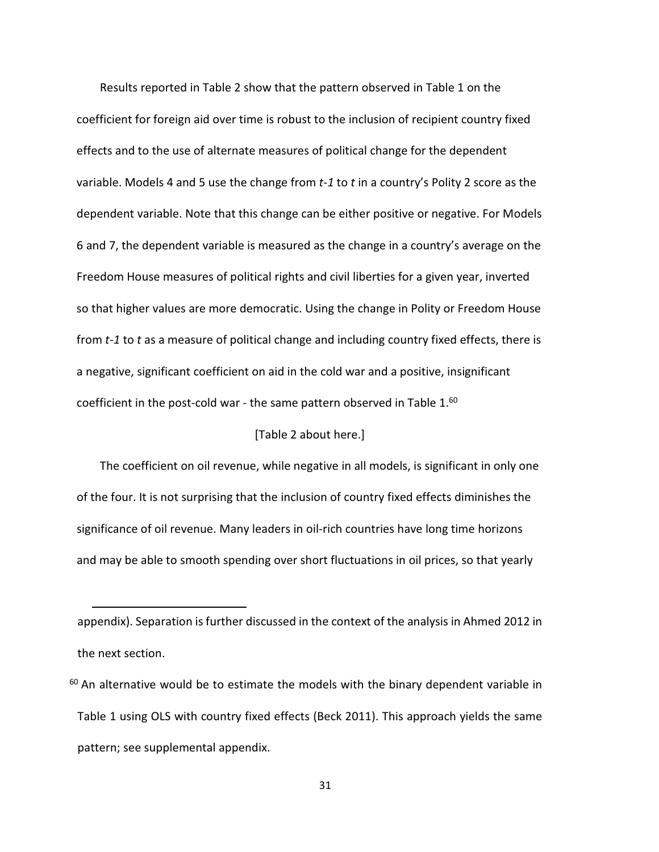Results reported in Table 2 show that the pattern observed in Table 1 on the coefficient for foreign aid over time is robust to the inclusion of recipient country fixed effects and to the use of alternate measures of political change for the dependent variable. Models 4 and 5 use the change from  $t-1$  to t in a country's Polity 2 score as the dependent variable. Note that this change can be either positive or negative. For Models 6 and 7, the dependent variable is measured as the change in a country's average on the Freedom House measures of political rights and civil liberties for a given year, inverted so that higher values are more democratic. Using the change in Polity or Freedom House from  $t-1$  to t as a measure of political change and including country fixed effects, there is a negative, significant coefficient on aid in the cold war and a positive, insignificant coefficient in the post-cold war - the same pattern observed in Table  $1.60$ 

#### [Table 2 about here.]

The coefficient on oil revenue, while negative in all models, is significant in only one of the four. It is not surprising that the inclusion of country fixed effects diminishes the significance of oil revenue. Many leaders in oil-rich countries have long time horizons and may be able to smooth spending over short fluctuations in oil prices, so that yearly

appendix). Separation is further discussed in the context of the analysis in Ahmed 2012 in the next section.

 $60$  An alternative would be to estimate the models with the binary dependent variable in Table 1 using OLS with country fixed effects (Beck 2011). This approach yields the same pattern; see supplemental appendix.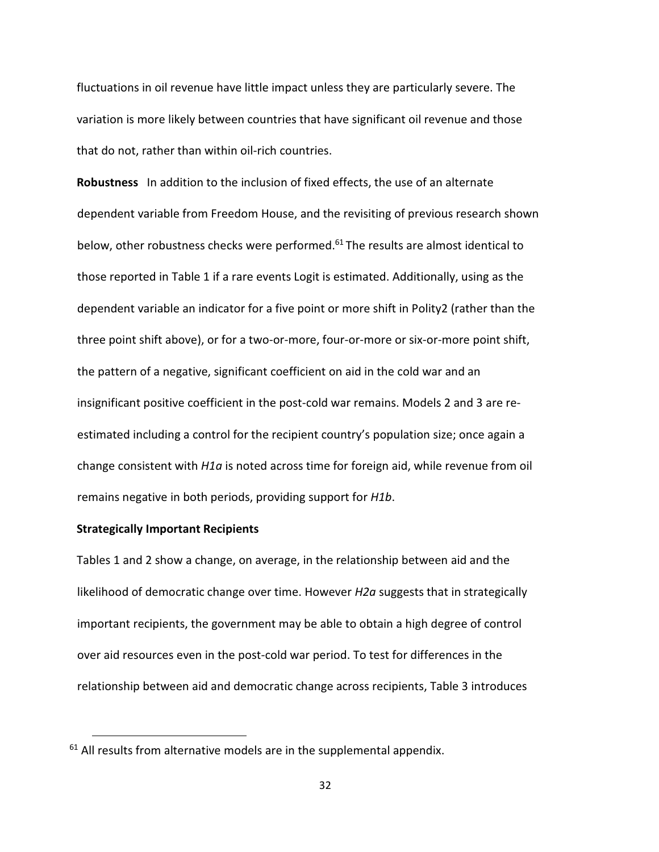fluctuations in oil revenue have little impact unless they are particularly severe. The variation is more likely between countries that have significant oil revenue and those that do not, rather than within oil-rich countries.

Robustness In addition to the inclusion of fixed effects, the use of an alternate dependent variable from Freedom House, and the revisiting of previous research shown below, other robustness checks were performed.<sup>61</sup> The results are almost identical to those reported in Table 1 if a rare events Logit is estimated. Additionally, using as the dependent variable an indicator for a five point or more shift in Polity2 (rather than the three point shift above), or for a two-or-more, four-or-more or six-or-more point shift, the pattern of a negative, significant coefficient on aid in the cold war and an insignificant positive coefficient in the post-cold war remains. Models 2 and 3 are reestimated including a control for the recipient country's population size; once again a change consistent with  $H1a$  is noted across time for foreign aid, while revenue from oil remains negative in both periods, providing support for H1b.

#### Strategically Important Recipients

.

Tables 1 and 2 show a change, on average, in the relationship between aid and the likelihood of democratic change over time. However  $H2a$  suggests that in strategically important recipients, the government may be able to obtain a high degree of control over aid resources even in the post-cold war period. To test for differences in the relationship between aid and democratic change across recipients, Table 3 introduces

 $61$  All results from alternative models are in the supplemental appendix.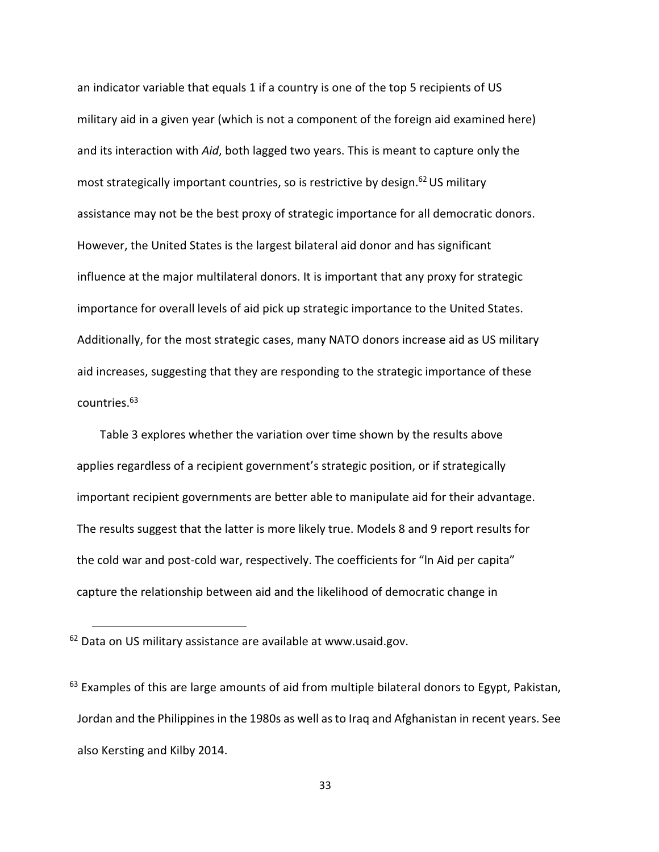an indicator variable that equals 1 if a country is one of the top 5 recipients of US military aid in a given year (which is not a component of the foreign aid examined here) and its interaction with Aid, both lagged two years. This is meant to capture only the most strategically important countries, so is restrictive by design.<sup>62</sup> US military assistance may not be the best proxy of strategic importance for all democratic donors. However, the United States is the largest bilateral aid donor and has significant influence at the major multilateral donors. It is important that any proxy for strategic importance for overall levels of aid pick up strategic importance to the United States. Additionally, for the most strategic cases, many NATO donors increase aid as US military aid increases, suggesting that they are responding to the strategic importance of these countries.<sup>63</sup>

Table 3 explores whether the variation over time shown by the results above applies regardless of a recipient government's strategic position, or if strategically important recipient governments are better able to manipulate aid for their advantage. The results suggest that the latter is more likely true. Models 8 and 9 report results for the cold war and post-cold war, respectively. The coefficients for "ln Aid per capita" capture the relationship between aid and the likelihood of democratic change in

 $62$  Data on US military assistance are available at www.usaid.gov.

 $63$  Examples of this are large amounts of aid from multiple bilateral donors to Egypt, Pakistan, Jordan and the Philippines in the 1980s as well as to Iraq and Afghanistan in recent years. See also Kersting and Kilby 2014.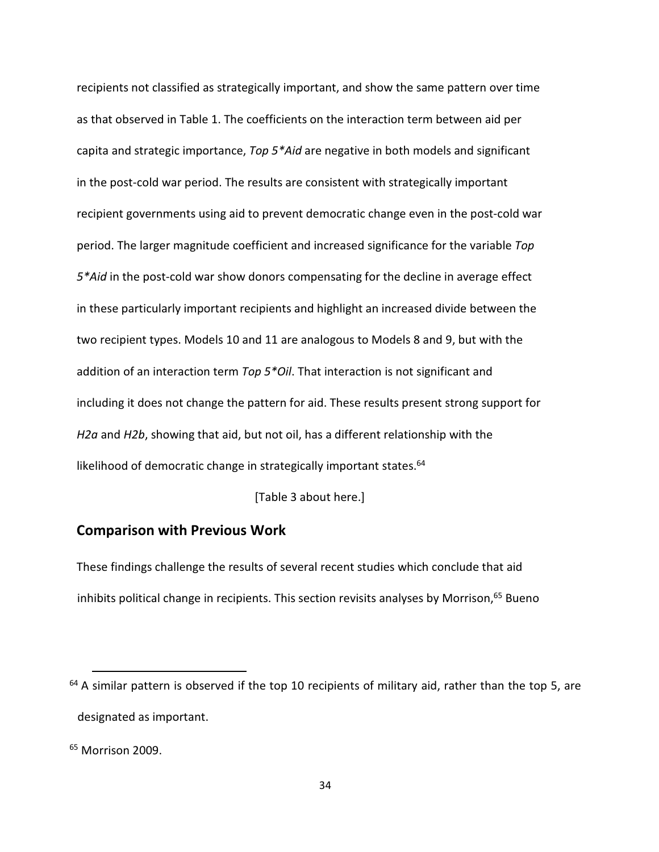recipients not classified as strategically important, and show the same pattern over time as that observed in Table 1. The coefficients on the interaction term between aid per capita and strategic importance, Top  $5*$ Aid are negative in both models and significant in the post-cold war period. The results are consistent with strategically important recipient governments using aid to prevent democratic change even in the post-cold war period. The larger magnitude coefficient and increased significance for the variable Top 5\*Aid in the post-cold war show donors compensating for the decline in average effect in these particularly important recipients and highlight an increased divide between the two recipient types. Models 10 and 11 are analogous to Models 8 and 9, but with the addition of an interaction term Top  $5*$ Oil. That interaction is not significant and including it does not change the pattern for aid. These results present strong support for H2a and H2b, showing that aid, but not oil, has a different relationship with the likelihood of democratic change in strategically important states.<sup>64</sup>

[Table 3 about here.]

# Comparison with Previous Work

These findings challenge the results of several recent studies which conclude that aid inhibits political change in recipients. This section revisits analyses by Morrison, $65$  Bueno

<u>.</u>

 $64$  A similar pattern is observed if the top 10 recipients of military aid, rather than the top 5, are designated as important.

<sup>65</sup> Morrison 2009.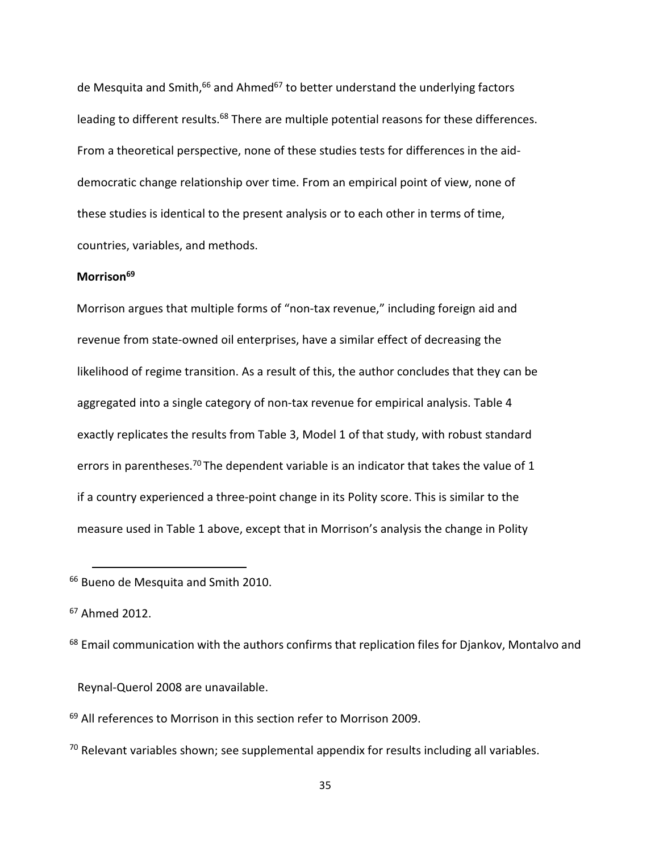de Mesquita and Smith,<sup>66</sup> and Ahmed<sup>67</sup> to better understand the underlying factors leading to different results.<sup>68</sup> There are multiple potential reasons for these differences. From a theoretical perspective, none of these studies tests for differences in the aiddemocratic change relationship over time. From an empirical point of view, none of these studies is identical to the present analysis or to each other in terms of time, countries, variables, and methods.

#### Morrison<sup>69</sup>

Morrison argues that multiple forms of "non-tax revenue," including foreign aid and revenue from state-owned oil enterprises, have a similar effect of decreasing the likelihood of regime transition. As a result of this, the author concludes that they can be aggregated into a single category of non-tax revenue for empirical analysis. Table 4 exactly replicates the results from Table 3, Model 1 of that study, with robust standard errors in parentheses.<sup>70</sup> The dependent variable is an indicator that takes the value of 1 if a country experienced a three-point change in its Polity score. This is similar to the measure used in Table 1 above, except that in Morrison's analysis the change in Polity

<sup>66</sup> Bueno de Mesquita and Smith 2010.

<sup>67</sup> Ahmed 2012.

.

<sup>68</sup> Email communication with the authors confirms that replication files for Djankov, Montalvo and

Reynal-Querol 2008 are unavailable.

<sup>69</sup> All references to Morrison in this section refer to Morrison 2009.

 $70$  Relevant variables shown; see supplemental appendix for results including all variables.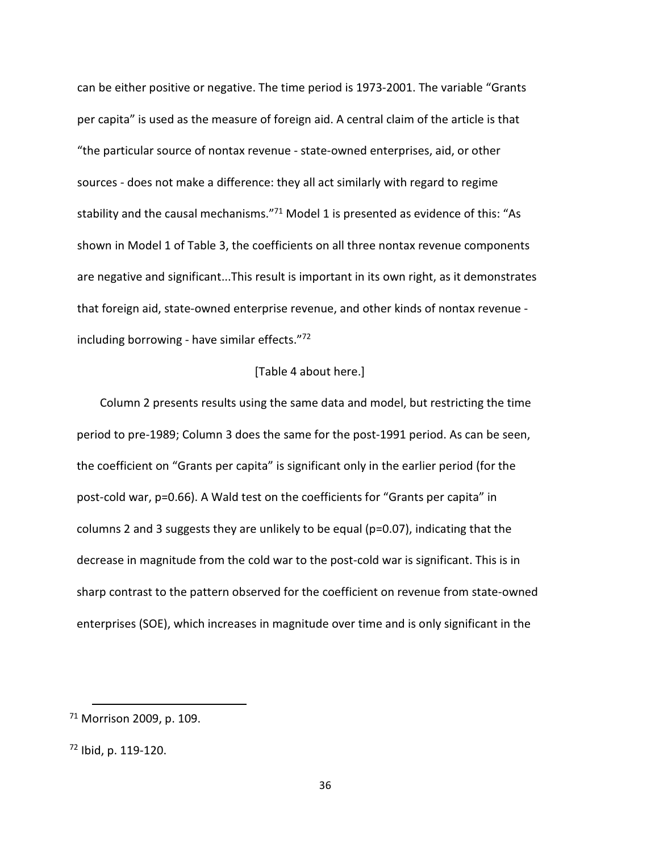can be either positive or negative. The time period is 1973-2001. The variable "Grants per capita" is used as the measure of foreign aid. A central claim of the article is that "the particular source of nontax revenue - state-owned enterprises, aid, or other sources - does not make a difference: they all act similarly with regard to regime stability and the causal mechanisms."<sup>71</sup> Model 1 is presented as evidence of this: "As shown in Model 1 of Table 3, the coefficients on all three nontax revenue components are negative and significant...This result is important in its own right, as it demonstrates that foreign aid, state-owned enterprise revenue, and other kinds of nontax revenue including borrowing - have similar effects."72

#### [Table 4 about here.]

Column 2 presents results using the same data and model, but restricting the time period to pre-1989; Column 3 does the same for the post-1991 period. As can be seen, the coefficient on "Grants per capita" is significant only in the earlier period (for the post-cold war, p=0.66). A Wald test on the coefficients for "Grants per capita" in columns 2 and 3 suggests they are unlikely to be equal (p=0.07), indicating that the decrease in magnitude from the cold war to the post-cold war is significant. This is in sharp contrast to the pattern observed for the coefficient on revenue from state-owned enterprises (SOE), which increases in magnitude over time and is only significant in the

 $71$  Morrison 2009, p. 109.

<sup>72</sup> Ibid, p. 119-120.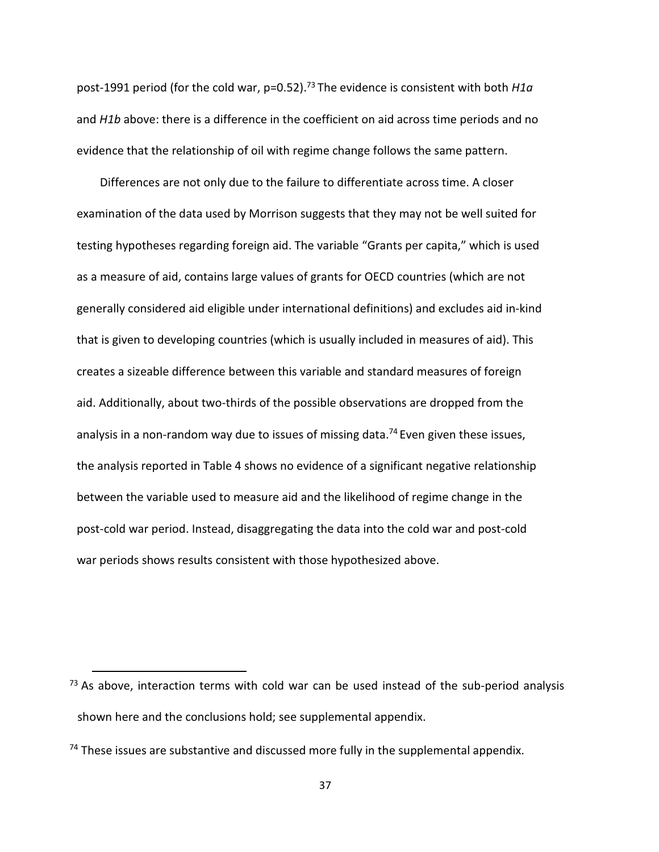post-1991 period (for the cold war, p=0.52).<sup>73</sup> The evidence is consistent with both  $H1a$ and H1b above: there is a difference in the coefficient on aid across time periods and no evidence that the relationship of oil with regime change follows the same pattern.

Differences are not only due to the failure to differentiate across time. A closer examination of the data used by Morrison suggests that they may not be well suited for testing hypotheses regarding foreign aid. The variable "Grants per capita," which is used as a measure of aid, contains large values of grants for OECD countries (which are not generally considered aid eligible under international definitions) and excludes aid in-kind that is given to developing countries (which is usually included in measures of aid). This creates a sizeable difference between this variable and standard measures of foreign aid. Additionally, about two-thirds of the possible observations are dropped from the analysis in a non-random way due to issues of missing data.<sup>74</sup> Even given these issues, the analysis reported in Table 4 shows no evidence of a significant negative relationship between the variable used to measure aid and the likelihood of regime change in the post-cold war period. Instead, disaggregating the data into the cold war and post-cold war periods shows results consistent with those hypothesized above.

<u>.</u>

 $73$  As above, interaction terms with cold war can be used instead of the sub-period analysis shown here and the conclusions hold; see supplemental appendix.

 $74$  These issues are substantive and discussed more fully in the supplemental appendix.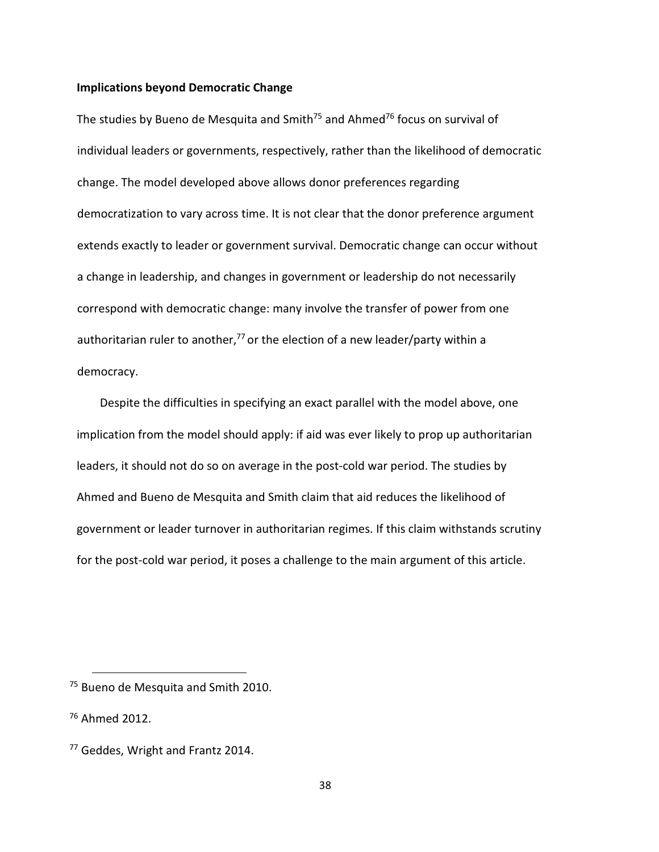#### Implications beyond Democratic Change

The studies by Bueno de Mesquita and Smith<sup>75</sup> and Ahmed<sup>76</sup> focus on survival of individual leaders or governments, respectively, rather than the likelihood of democratic change. The model developed above allows donor preferences regarding democratization to vary across time. It is not clear that the donor preference argument extends exactly to leader or government survival. Democratic change can occur without a change in leadership, and changes in government or leadership do not necessarily correspond with democratic change: many involve the transfer of power from one authoritarian ruler to another,<sup>77</sup> or the election of a new leader/party within a democracy.

Despite the difficulties in specifying an exact parallel with the model above, one implication from the model should apply: if aid was ever likely to prop up authoritarian leaders, it should not do so on average in the post-cold war period. The studies by Ahmed and Bueno de Mesquita and Smith claim that aid reduces the likelihood of government or leader turnover in authoritarian regimes. If this claim withstands scrutiny for the post-cold war period, it poses a challenge to the main argument of this article.

<sup>&</sup>lt;sup>75</sup> Bueno de Mesquita and Smith 2010.

 $76$  Ahmed 2012.

<sup>77</sup> Geddes, Wright and Frantz 2014.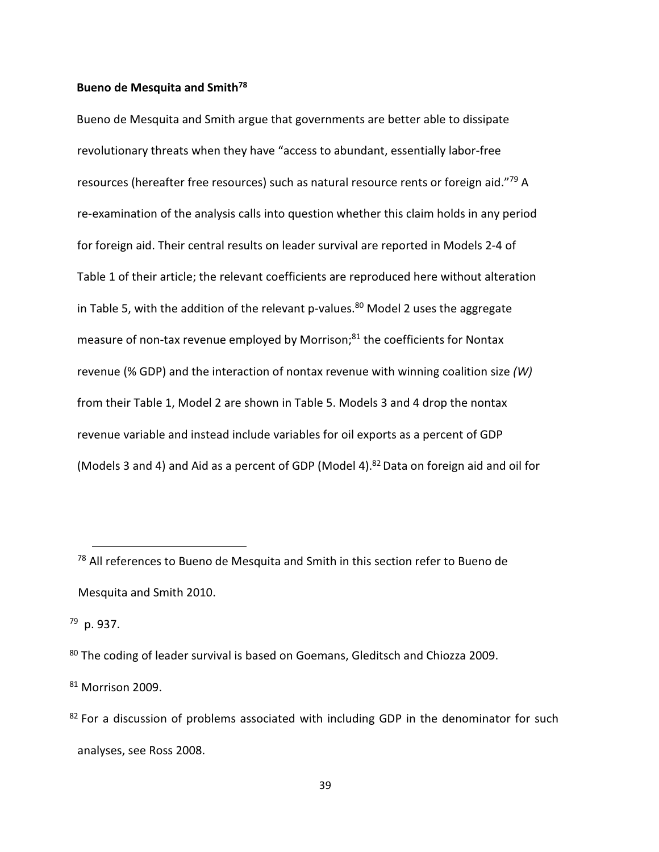# Bueno de Mesquita and Smith<sup>78</sup>

Bueno de Mesquita and Smith argue that governments are better able to dissipate revolutionary threats when they have "access to abundant, essentially labor-free resources (hereafter free resources) such as natural resource rents or foreign aid."<sup>79</sup> A re-examination of the analysis calls into question whether this claim holds in any period for foreign aid. Their central results on leader survival are reported in Models 2-4 of Table 1 of their article; the relevant coefficients are reproduced here without alteration in Table 5, with the addition of the relevant p-values.<sup>80</sup> Model 2 uses the aggregate measure of non-tax revenue employed by Morrison;<sup>81</sup> the coefficients for Nontax revenue (% GDP) and the interaction of nontax revenue with winning coalition size (W) from their Table 1, Model 2 are shown in Table 5. Models 3 and 4 drop the nontax revenue variable and instead include variables for oil exports as a percent of GDP (Models 3 and 4) and Aid as a percent of GDP (Model 4).<sup>82</sup> Data on foreign aid and oil for

<sup>79</sup> p. 937.

.

<sup>80</sup> The coding of leader survival is based on Goemans, Gleditsch and Chiozza 2009.

<sup>81</sup> Morrison 2009.

<sup>&</sup>lt;sup>78</sup> All references to Bueno de Mesquita and Smith in this section refer to Bueno de Mesquita and Smith 2010.

 $82$  For a discussion of problems associated with including GDP in the denominator for such analyses, see Ross 2008.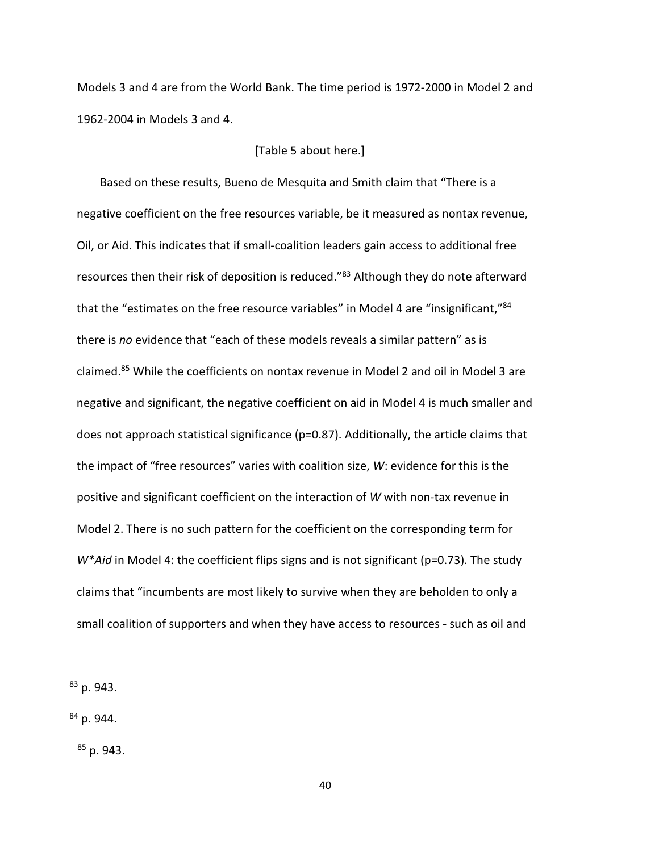Models 3 and 4 are from the World Bank. The time period is 1972-2000 in Model 2 and 1962-2004 in Models 3 and 4.

#### [Table 5 about here.]

Based on these results, Bueno de Mesquita and Smith claim that "There is a negative coefficient on the free resources variable, be it measured as nontax revenue, Oil, or Aid. This indicates that if small-coalition leaders gain access to additional free resources then their risk of deposition is reduced."<sup>83</sup> Although they do note afterward that the "estimates on the free resource variables" in Model 4 are "insignificant,"<sup>84</sup> there is no evidence that "each of these models reveals a similar pattern" as is claimed.<sup>85</sup> While the coefficients on nontax revenue in Model 2 and oil in Model 3 are negative and significant, the negative coefficient on aid in Model 4 is much smaller and does not approach statistical significance (p=0.87). Additionally, the article claims that the impact of "free resources" varies with coalition size, W: evidence for this is the positive and significant coefficient on the interaction of W with non-tax revenue in Model 2. There is no such pattern for the coefficient on the corresponding term for  $W^*$ Aid in Model 4: the coefficient flips signs and is not significant (p=0.73). The study claims that "incumbents are most likely to survive when they are beholden to only a small coalition of supporters and when they have access to resources - such as oil and

. <sup>83</sup> p. 943.

 $84$  p. 944.

 $85$  p. 943.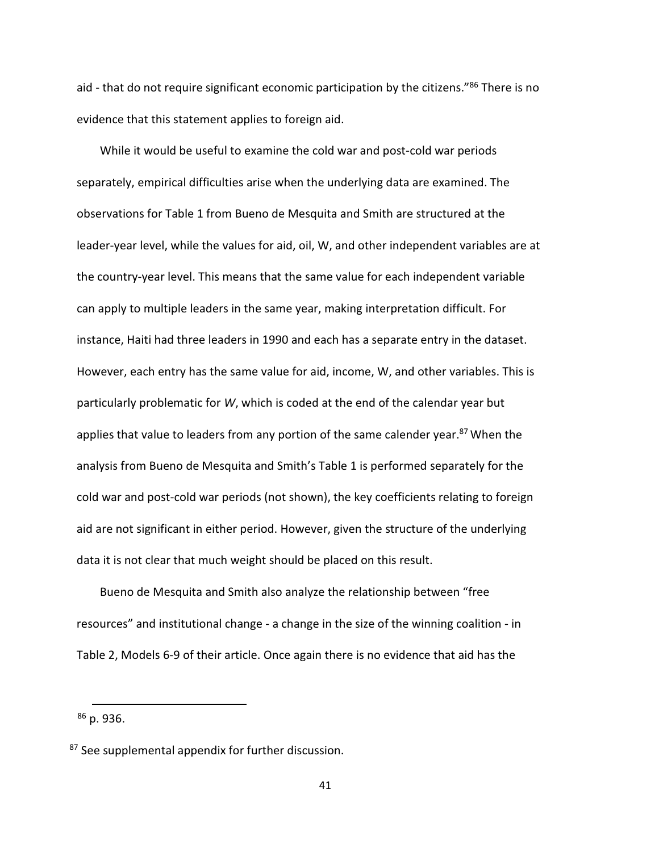aid - that do not require significant economic participation by the citizens."<sup>86</sup> There is no evidence that this statement applies to foreign aid.

While it would be useful to examine the cold war and post-cold war periods separately, empirical difficulties arise when the underlying data are examined. The observations for Table 1 from Bueno de Mesquita and Smith are structured at the leader-year level, while the values for aid, oil, W, and other independent variables are at the country-year level. This means that the same value for each independent variable can apply to multiple leaders in the same year, making interpretation difficult. For instance, Haiti had three leaders in 1990 and each has a separate entry in the dataset. However, each entry has the same value for aid, income, W, and other variables. This is particularly problematic for W, which is coded at the end of the calendar year but applies that value to leaders from any portion of the same calender year.<sup>87</sup> When the analysis from Bueno de Mesquita and Smith's Table 1 is performed separately for the cold war and post-cold war periods (not shown), the key coefficients relating to foreign aid are not significant in either period. However, given the structure of the underlying data it is not clear that much weight should be placed on this result.

Bueno de Mesquita and Smith also analyze the relationship between "free resources" and institutional change - a change in the size of the winning coalition - in Table 2, Models 6-9 of their article. Once again there is no evidence that aid has the

 $86$  p. 936.

<sup>87</sup> See supplemental appendix for further discussion.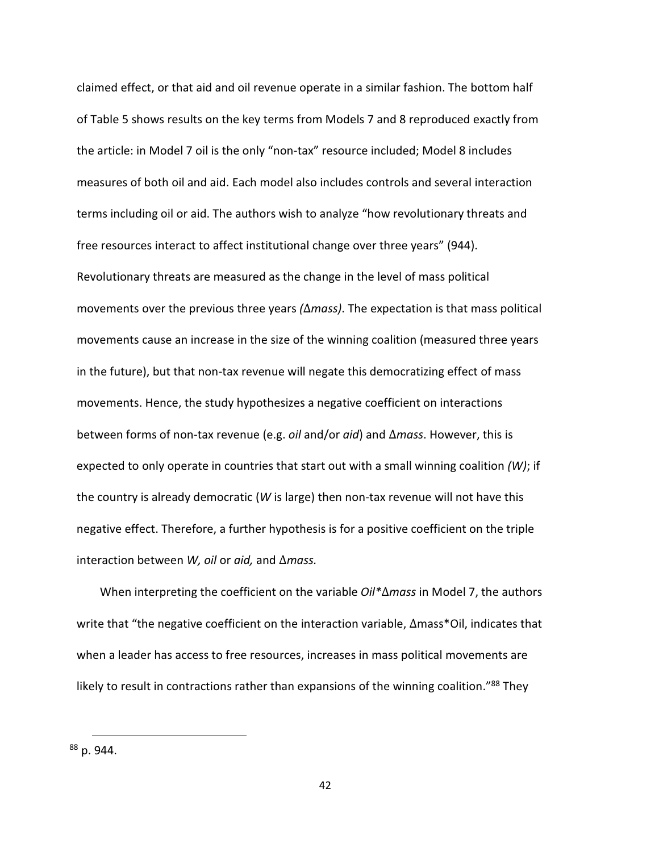claimed effect, or that aid and oil revenue operate in a similar fashion. The bottom half of Table 5 shows results on the key terms from Models 7 and 8 reproduced exactly from the article: in Model 7 oil is the only "non-tax" resource included; Model 8 includes measures of both oil and aid. Each model also includes controls and several interaction terms including oil or aid. The authors wish to analyze "how revolutionary threats and free resources interact to affect institutional change over three years" (944). Revolutionary threats are measured as the change in the level of mass political movements over the previous three years  $(\Delta m$ ass). The expectation is that mass political movements cause an increase in the size of the winning coalition (measured three years in the future), but that non-tax revenue will negate this democratizing effect of mass movements. Hence, the study hypothesizes a negative coefficient on interactions between forms of non-tax revenue (e.g. *oil* and/or *aid*) and ∆*mass*. However, this is expected to only operate in countries that start out with a small winning coalition  $(W)$ ; if the country is already democratic (W is large) then non-tax revenue will not have this negative effect. Therefore, a further hypothesis is for a positive coefficient on the triple interaction between W, oil or aid, and ∆mass.

When interpreting the coefficient on the variable Oil\*∆mass in Model 7, the authors write that "the negative coefficient on the interaction variable, ∆mass\*Oil, indicates that when a leader has access to free resources, increases in mass political movements are likely to result in contractions rather than expansions of the winning coalition."<sup>88</sup> They

<sup>.</sup> <sup>88</sup> p. 944.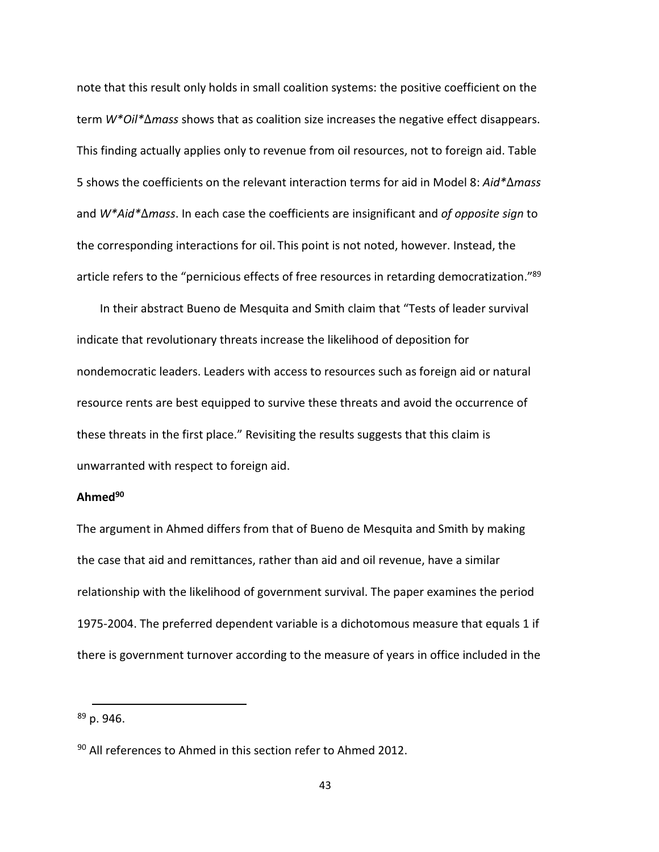note that this result only holds in small coalition systems: the positive coefficient on the term W<sup>\*</sup>Oil<sup>\*</sup>∆mass shows that as coalition size increases the negative effect disappears. This finding actually applies only to revenue from oil resources, not to foreign aid. Table 5 shows the coefficients on the relevant interaction terms for aid in Model 8: Aid\*∆mass and W\*Aid\*∆mass. In each case the coefficients are insignificant and of opposite sign to the corresponding interactions for oil. This point is not noted, however. Instead, the article refers to the "pernicious effects of free resources in retarding democratization."<sup>89</sup>

In their abstract Bueno de Mesquita and Smith claim that "Tests of leader survival indicate that revolutionary threats increase the likelihood of deposition for nondemocratic leaders. Leaders with access to resources such as foreign aid or natural resource rents are best equipped to survive these threats and avoid the occurrence of these threats in the first place." Revisiting the results suggests that this claim is unwarranted with respect to foreign aid.

# Ahmed<sup>90</sup>

The argument in Ahmed differs from that of Bueno de Mesquita and Smith by making the case that aid and remittances, rather than aid and oil revenue, have a similar relationship with the likelihood of government survival. The paper examines the period 1975-2004. The preferred dependent variable is a dichotomous measure that equals 1 if there is government turnover according to the measure of years in office included in the

 $89$  p. 946.

<sup>90</sup> All references to Ahmed in this section refer to Ahmed 2012.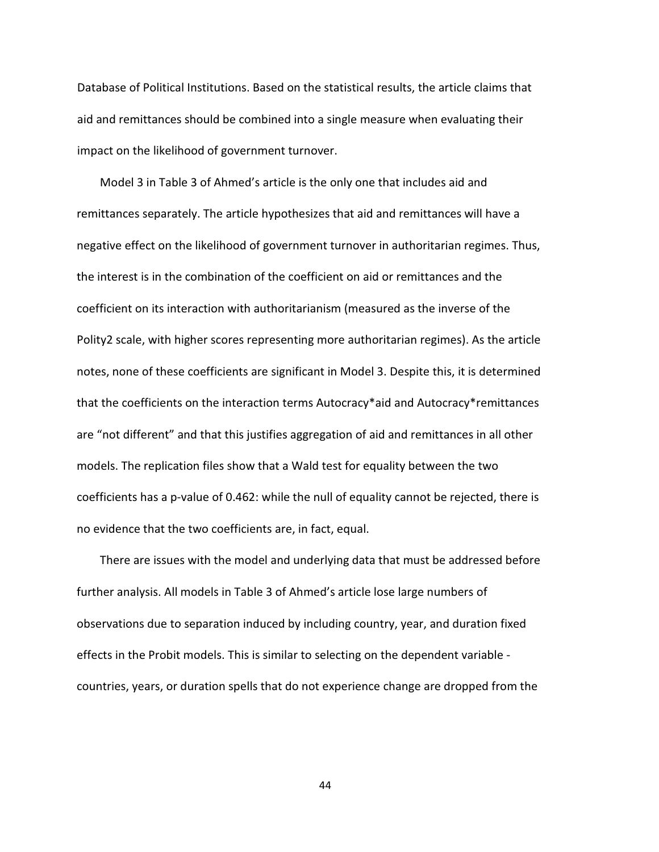Database of Political Institutions. Based on the statistical results, the article claims that aid and remittances should be combined into a single measure when evaluating their impact on the likelihood of government turnover.

Model 3 in Table 3 of Ahmed's article is the only one that includes aid and remittances separately. The article hypothesizes that aid and remittances will have a negative effect on the likelihood of government turnover in authoritarian regimes. Thus, the interest is in the combination of the coefficient on aid or remittances and the coefficient on its interaction with authoritarianism (measured as the inverse of the Polity2 scale, with higher scores representing more authoritarian regimes). As the article notes, none of these coefficients are significant in Model 3. Despite this, it is determined that the coefficients on the interaction terms Autocracy\*aid and Autocracy\*remittances are "not different" and that this justifies aggregation of aid and remittances in all other models. The replication files show that a Wald test for equality between the two coefficients has a p-value of 0.462: while the null of equality cannot be rejected, there is no evidence that the two coefficients are, in fact, equal.

There are issues with the model and underlying data that must be addressed before further analysis. All models in Table 3 of Ahmed's article lose large numbers of observations due to separation induced by including country, year, and duration fixed effects in the Probit models. This is similar to selecting on the dependent variable countries, years, or duration spells that do not experience change are dropped from the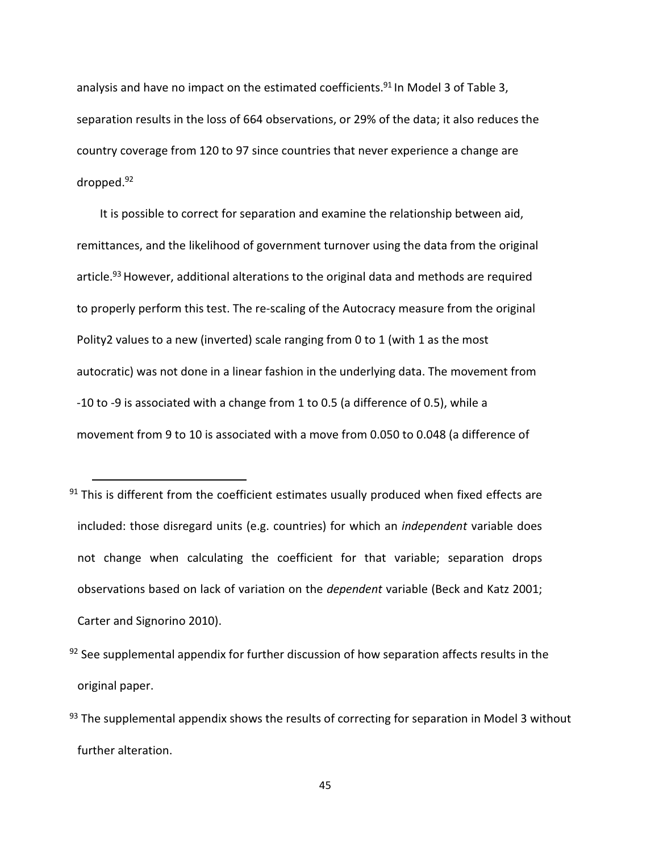analysis and have no impact on the estimated coefficients.<sup>91</sup> In Model 3 of Table 3, separation results in the loss of 664 observations, or 29% of the data; it also reduces the country coverage from 120 to 97 since countries that never experience a change are dropped.<sup>92</sup>

It is possible to correct for separation and examine the relationship between aid, remittances, and the likelihood of government turnover using the data from the original article.<sup>93</sup> However, additional alterations to the original data and methods are required to properly perform this test. The re-scaling of the Autocracy measure from the original Polity2 values to a new (inverted) scale ranging from 0 to 1 (with 1 as the most autocratic) was not done in a linear fashion in the underlying data. The movement from -10 to -9 is associated with a change from 1 to 0.5 (a difference of 0.5), while a movement from 9 to 10 is associated with a move from 0.050 to 0.048 (a difference of

 $91$  This is different from the coefficient estimates usually produced when fixed effects are included: those disregard units (e.g. countries) for which an independent variable does not change when calculating the coefficient for that variable; separation drops observations based on lack of variation on the dependent variable (Beck and Katz 2001; Carter and Signorino 2010).

<u>.</u>

- $92$  See supplemental appendix for further discussion of how separation affects results in the original paper.
- $93$  The supplemental appendix shows the results of correcting for separation in Model 3 without further alteration.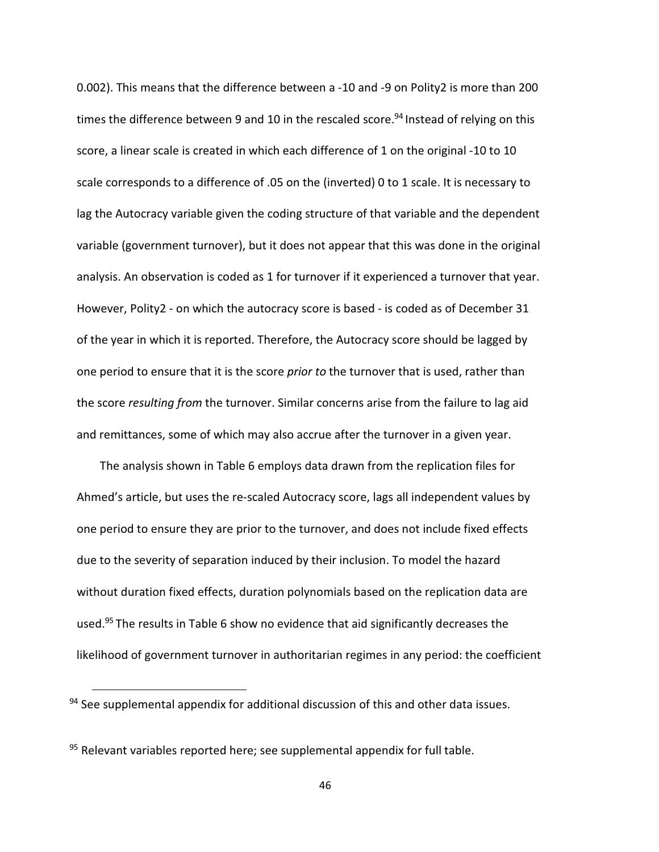0.002). This means that the difference between a -10 and -9 on Polity2 is more than 200 times the difference between 9 and 10 in the rescaled score.<sup>94</sup> Instead of relying on this score, a linear scale is created in which each difference of 1 on the original -10 to 10 scale corresponds to a difference of .05 on the (inverted) 0 to 1 scale. It is necessary to lag the Autocracy variable given the coding structure of that variable and the dependent variable (government turnover), but it does not appear that this was done in the original analysis. An observation is coded as 1 for turnover if it experienced a turnover that year. However, Polity2 - on which the autocracy score is based - is coded as of December 31 of the year in which it is reported. Therefore, the Autocracy score should be lagged by one period to ensure that it is the score *prior to* the turnover that is used, rather than the score resulting from the turnover. Similar concerns arise from the failure to lag aid and remittances, some of which may also accrue after the turnover in a given year.

The analysis shown in Table 6 employs data drawn from the replication files for Ahmed's article, but uses the re-scaled Autocracy score, lags all independent values by one period to ensure they are prior to the turnover, and does not include fixed effects due to the severity of separation induced by their inclusion. To model the hazard without duration fixed effects, duration polynomials based on the replication data are used.<sup>95</sup>The results in Table 6 show no evidence that aid significantly decreases the likelihood of government turnover in authoritarian regimes in any period: the coefficient

 $94$  See supplemental appendix for additional discussion of this and other data issues.

<sup>95</sup> Relevant variables reported here; see supplemental appendix for full table.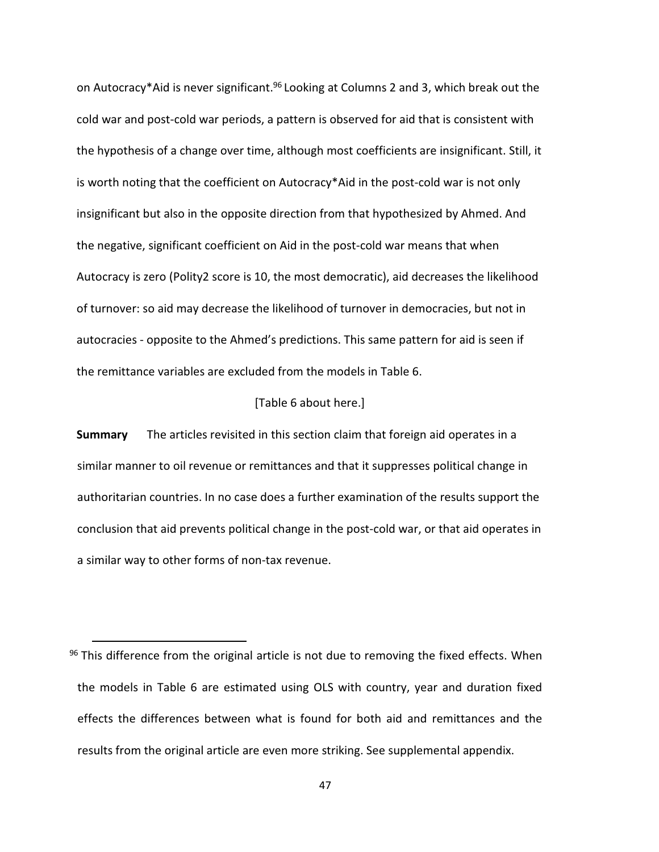on Autocracy\*Aid is never significant.<sup>96</sup> Looking at Columns 2 and 3, which break out the cold war and post-cold war periods, a pattern is observed for aid that is consistent with the hypothesis of a change over time, although most coefficients are insignificant. Still, it is worth noting that the coefficient on Autocracy\*Aid in the post-cold war is not only insignificant but also in the opposite direction from that hypothesized by Ahmed. And the negative, significant coefficient on Aid in the post-cold war means that when Autocracy is zero (Polity2 score is 10, the most democratic), aid decreases the likelihood of turnover: so aid may decrease the likelihood of turnover in democracies, but not in autocracies - opposite to the Ahmed's predictions. This same pattern for aid is seen if the remittance variables are excluded from the models in Table 6.

#### [Table 6 about here.]

**Summary** The articles revisited in this section claim that foreign aid operates in a similar manner to oil revenue or remittances and that it suppresses political change in authoritarian countries. In no case does a further examination of the results support the conclusion that aid prevents political change in the post-cold war, or that aid operates in a similar way to other forms of non-tax revenue.

 $96$  This difference from the original article is not due to removing the fixed effects. When the models in Table 6 are estimated using OLS with country, year and duration fixed effects the differences between what is found for both aid and remittances and the results from the original article are even more striking. See supplemental appendix.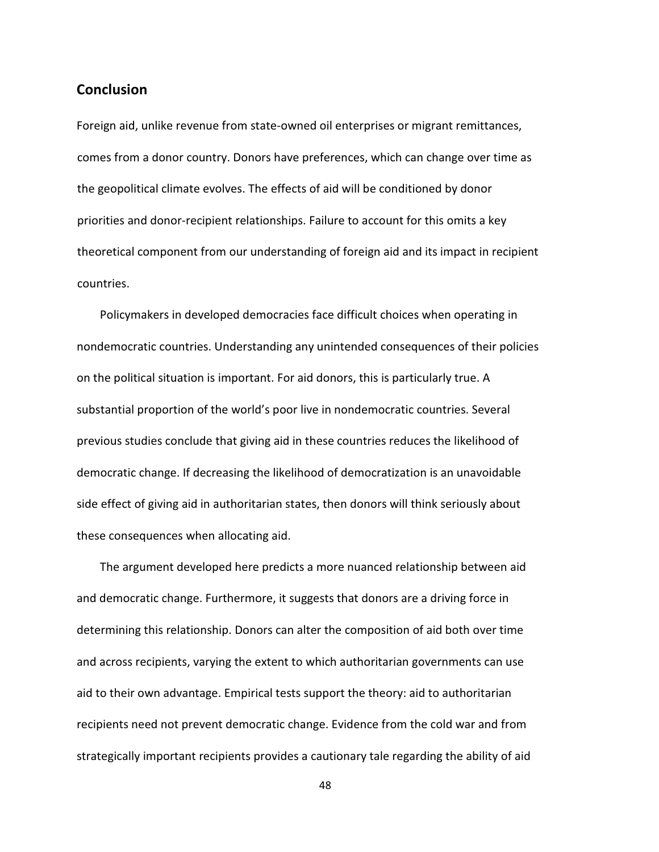# **Conclusion**

Foreign aid, unlike revenue from state-owned oil enterprises or migrant remittances, comes from a donor country. Donors have preferences, which can change over time as the geopolitical climate evolves. The effects of aid will be conditioned by donor priorities and donor-recipient relationships. Failure to account for this omits a key theoretical component from our understanding of foreign aid and its impact in recipient countries.

Policymakers in developed democracies face difficult choices when operating in nondemocratic countries. Understanding any unintended consequences of their policies on the political situation is important. For aid donors, this is particularly true. A substantial proportion of the world's poor live in nondemocratic countries. Several previous studies conclude that giving aid in these countries reduces the likelihood of democratic change. If decreasing the likelihood of democratization is an unavoidable side effect of giving aid in authoritarian states, then donors will think seriously about these consequences when allocating aid.

The argument developed here predicts a more nuanced relationship between aid and democratic change. Furthermore, it suggests that donors are a driving force in determining this relationship. Donors can alter the composition of aid both over time and across recipients, varying the extent to which authoritarian governments can use aid to their own advantage. Empirical tests support the theory: aid to authoritarian recipients need not prevent democratic change. Evidence from the cold war and from strategically important recipients provides a cautionary tale regarding the ability of aid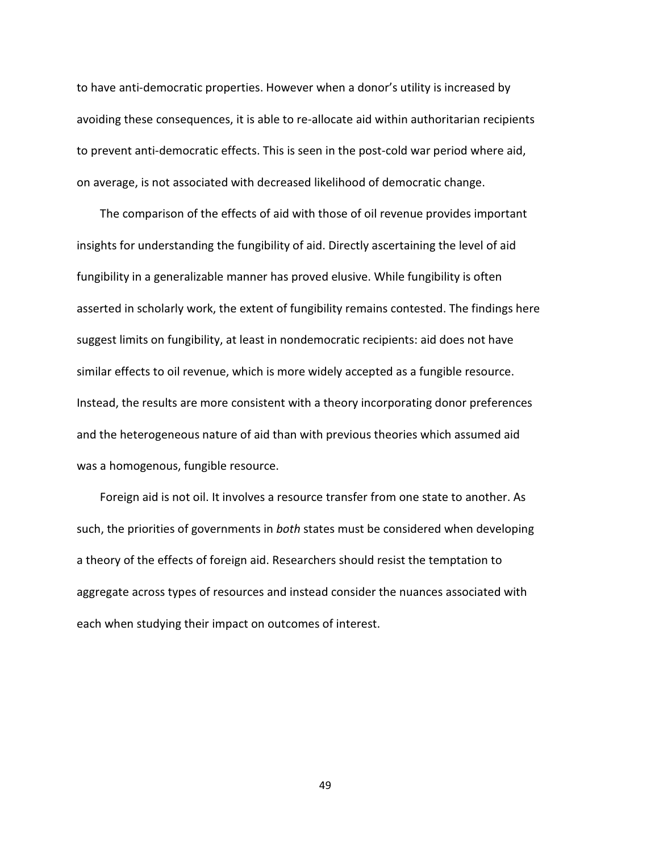to have anti-democratic properties. However when a donor's utility is increased by avoiding these consequences, it is able to re-allocate aid within authoritarian recipients to prevent anti-democratic effects. This is seen in the post-cold war period where aid, on average, is not associated with decreased likelihood of democratic change.

The comparison of the effects of aid with those of oil revenue provides important insights for understanding the fungibility of aid. Directly ascertaining the level of aid fungibility in a generalizable manner has proved elusive. While fungibility is often asserted in scholarly work, the extent of fungibility remains contested. The findings here suggest limits on fungibility, at least in nondemocratic recipients: aid does not have similar effects to oil revenue, which is more widely accepted as a fungible resource. Instead, the results are more consistent with a theory incorporating donor preferences and the heterogeneous nature of aid than with previous theories which assumed aid was a homogenous, fungible resource.

Foreign aid is not oil. It involves a resource transfer from one state to another. As such, the priorities of governments in both states must be considered when developing a theory of the effects of foreign aid. Researchers should resist the temptation to aggregate across types of resources and instead consider the nuances associated with each when studying their impact on outcomes of interest.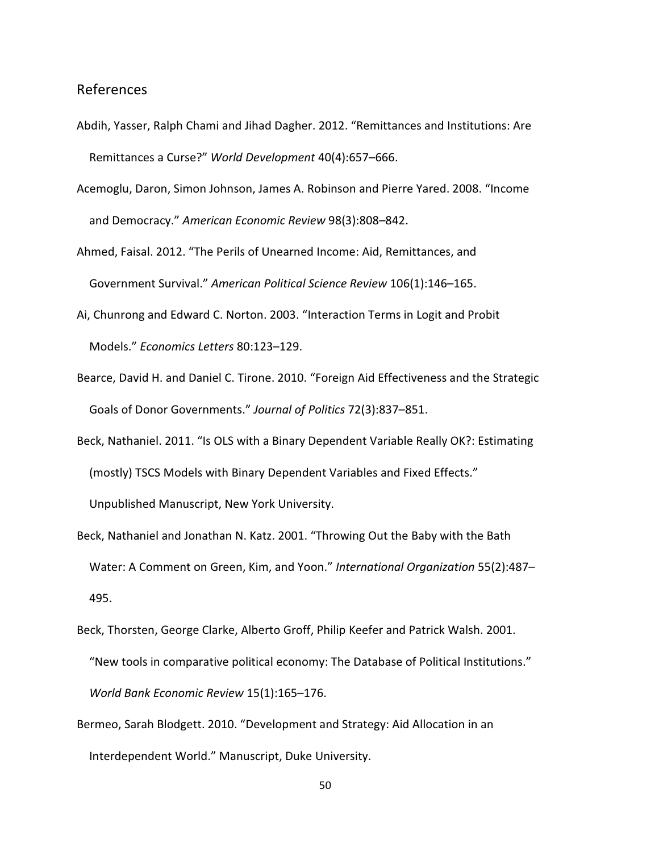# References

- Abdih, Yasser, Ralph Chami and Jihad Dagher. 2012. "Remittances and Institutions: Are Remittances a Curse?" World Development 40(4):657–666.
- Acemoglu, Daron, Simon Johnson, James A. Robinson and Pierre Yared. 2008. "Income and Democracy." American Economic Review 98(3):808–842.
- Ahmed, Faisal. 2012. "The Perils of Unearned Income: Aid, Remittances, and Government Survival." American Political Science Review 106(1):146–165.
- Ai, Chunrong and Edward C. Norton. 2003. "Interaction Terms in Logit and Probit Models." Economics Letters 80:123–129.
- Bearce, David H. and Daniel C. Tirone. 2010. "Foreign Aid Effectiveness and the Strategic Goals of Donor Governments." Journal of Politics 72(3):837–851.
- Beck, Nathaniel. 2011. "Is OLS with a Binary Dependent Variable Really OK?: Estimating (mostly) TSCS Models with Binary Dependent Variables and Fixed Effects." Unpublished Manuscript, New York University.
- Beck, Nathaniel and Jonathan N. Katz. 2001. "Throwing Out the Baby with the Bath Water: A Comment on Green, Kim, and Yoon." International Organization 55(2):487– 495.

Beck, Thorsten, George Clarke, Alberto Groff, Philip Keefer and Patrick Walsh. 2001.

- "New tools in comparative political economy: The Database of Political Institutions." World Bank Economic Review 15(1):165–176.
- Bermeo, Sarah Blodgett. 2010. "Development and Strategy: Aid Allocation in an Interdependent World." Manuscript, Duke University.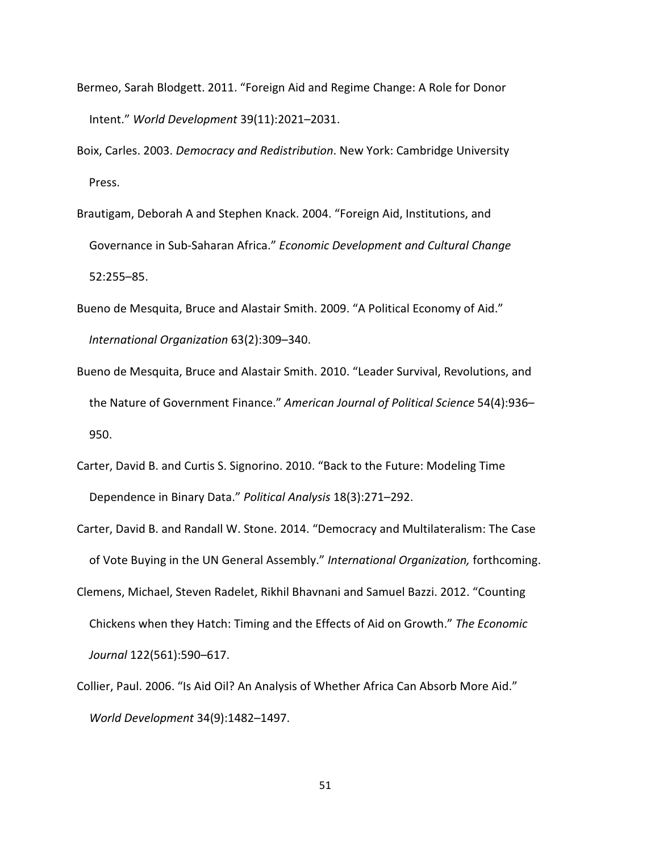- Bermeo, Sarah Blodgett. 2011. "Foreign Aid and Regime Change: A Role for Donor Intent." World Development 39(11):2021–2031.
- Boix, Carles. 2003. Democracy and Redistribution. New York: Cambridge University Press.
- Brautigam, Deborah A and Stephen Knack. 2004. "Foreign Aid, Institutions, and Governance in Sub-Saharan Africa." Economic Development and Cultural Change 52:255–85.
- Bueno de Mesquita, Bruce and Alastair Smith. 2009. "A Political Economy of Aid." International Organization 63(2):309–340.
- Bueno de Mesquita, Bruce and Alastair Smith. 2010. "Leader Survival, Revolutions, and the Nature of Government Finance." American Journal of Political Science 54(4):936– 950.
- Carter, David B. and Curtis S. Signorino. 2010. "Back to the Future: Modeling Time Dependence in Binary Data." Political Analysis 18(3):271–292.
- Carter, David B. and Randall W. Stone. 2014. "Democracy and Multilateralism: The Case of Vote Buying in the UN General Assembly." International Organization, forthcoming.
- Clemens, Michael, Steven Radelet, Rikhil Bhavnani and Samuel Bazzi. 2012. "Counting Chickens when they Hatch: Timing and the Effects of Aid on Growth." The Economic Journal 122(561):590–617.
- Collier, Paul. 2006. "Is Aid Oil? An Analysis of Whether Africa Can Absorb More Aid." World Development 34(9):1482–1497.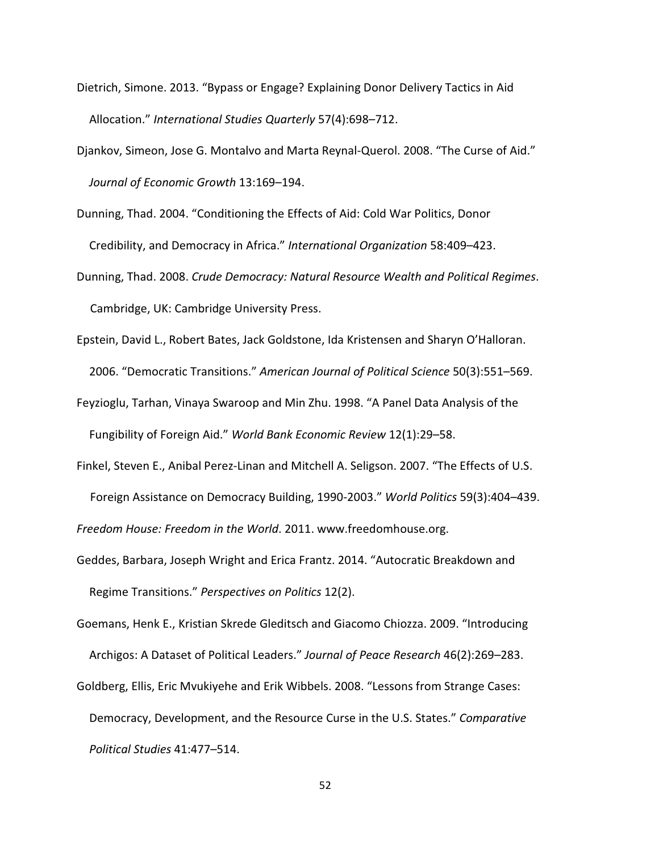- Dietrich, Simone. 2013. "Bypass or Engage? Explaining Donor Delivery Tactics in Aid Allocation." International Studies Quarterly 57(4):698–712.
- Djankov, Simeon, Jose G. Montalvo and Marta Reynal-Querol. 2008. "The Curse of Aid." Journal of Economic Growth 13:169–194.
- Dunning, Thad. 2004. "Conditioning the Effects of Aid: Cold War Politics, Donor Credibility, and Democracy in Africa." International Organization 58:409–423.
- Dunning, Thad. 2008. Crude Democracy: Natural Resource Wealth and Political Regimes. Cambridge, UK: Cambridge University Press.
- Epstein, David L., Robert Bates, Jack Goldstone, Ida Kristensen and Sharyn O'Halloran. 2006. "Democratic Transitions." American Journal of Political Science 50(3):551–569.
- Feyzioglu, Tarhan, Vinaya Swaroop and Min Zhu. 1998. "A Panel Data Analysis of the Fungibility of Foreign Aid." World Bank Economic Review 12(1):29–58.
- Finkel, Steven E., Anibal Perez-Linan and Mitchell A. Seligson. 2007. "The Effects of U.S.
	- Foreign Assistance on Democracy Building, 1990-2003." World Politics 59(3):404–439.

Freedom House: Freedom in the World. 2011. www.freedomhouse.org.

- Geddes, Barbara, Joseph Wright and Erica Frantz. 2014. "Autocratic Breakdown and Regime Transitions." Perspectives on Politics 12(2).
- Goemans, Henk E., Kristian Skrede Gleditsch and Giacomo Chiozza. 2009. "Introducing Archigos: A Dataset of Political Leaders." Journal of Peace Research 46(2):269–283.
- Goldberg, Ellis, Eric Mvukiyehe and Erik Wibbels. 2008. "Lessons from Strange Cases: Democracy, Development, and the Resource Curse in the U.S. States." Comparative Political Studies 41:477–514.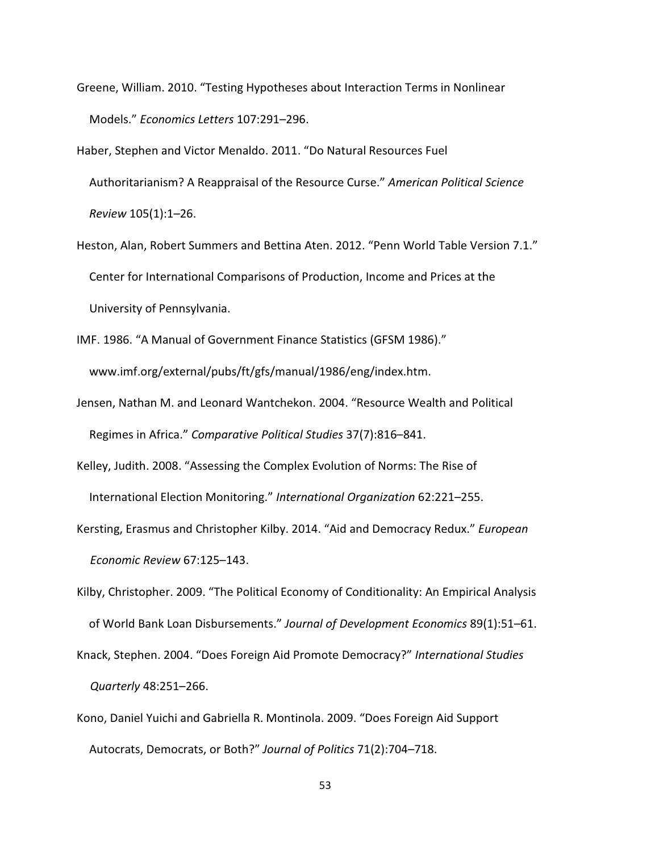- Greene, William. 2010. "Testing Hypotheses about Interaction Terms in Nonlinear Models." Economics Letters 107:291–296.
- Haber, Stephen and Victor Menaldo. 2011. "Do Natural Resources Fuel Authoritarianism? A Reappraisal of the Resource Curse." American Political Science Review 105(1):1–26.
- Heston, Alan, Robert Summers and Bettina Aten. 2012. "Penn World Table Version 7.1." Center for International Comparisons of Production, Income and Prices at the University of Pennsylvania.
- IMF. 1986. "A Manual of Government Finance Statistics (GFSM 1986)." www.imf.org/external/pubs/ft/gfs/manual/1986/eng/index.htm.
- Jensen, Nathan M. and Leonard Wantchekon. 2004. "Resource Wealth and Political Regimes in Africa." Comparative Political Studies 37(7):816–841.
- Kelley, Judith. 2008. "Assessing the Complex Evolution of Norms: The Rise of International Election Monitoring." International Organization 62:221–255.
- Kersting, Erasmus and Christopher Kilby. 2014. "Aid and Democracy Redux." European Economic Review 67:125–143.

Kilby, Christopher. 2009. "The Political Economy of Conditionality: An Empirical Analysis of World Bank Loan Disbursements." Journal of Development Economics 89(1):51–61.

Knack, Stephen. 2004. "Does Foreign Aid Promote Democracy?" International Studies Quarterly 48:251–266.

Kono, Daniel Yuichi and Gabriella R. Montinola. 2009. "Does Foreign Aid Support Autocrats, Democrats, or Both?" Journal of Politics 71(2):704–718.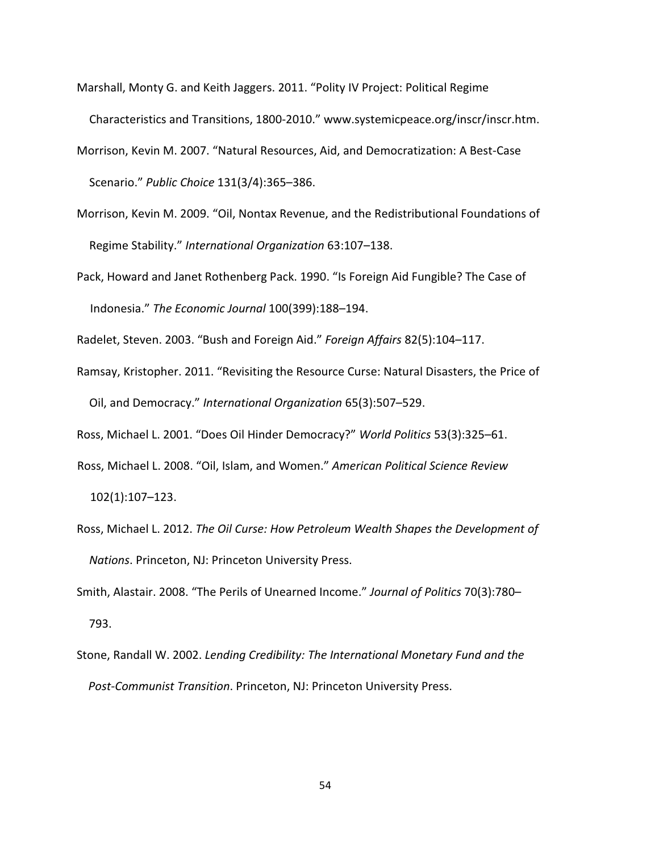- Marshall, Monty G. and Keith Jaggers. 2011. "Polity IV Project: Political Regime Characteristics and Transitions, 1800-2010." www.systemicpeace.org/inscr/inscr.htm.
- Morrison, Kevin M. 2007. "Natural Resources, Aid, and Democratization: A Best-Case Scenario." Public Choice 131(3/4):365–386.
- Morrison, Kevin M. 2009. "Oil, Nontax Revenue, and the Redistributional Foundations of Regime Stability." International Organization 63:107–138.
- Pack, Howard and Janet Rothenberg Pack. 1990. "Is Foreign Aid Fungible? The Case of Indonesia." The Economic Journal 100(399):188–194.

Radelet, Steven. 2003. "Bush and Foreign Aid." Foreign Affairs 82(5):104–117.

Ramsay, Kristopher. 2011. "Revisiting the Resource Curse: Natural Disasters, the Price of Oil, and Democracy." International Organization 65(3):507–529.

Ross, Michael L. 2001. "Does Oil Hinder Democracy?" World Politics 53(3):325–61.

- Ross, Michael L. 2008. "Oil, Islam, and Women." American Political Science Review 102(1):107–123.
- Ross, Michael L. 2012. The Oil Curse: How Petroleum Wealth Shapes the Development of Nations. Princeton, NJ: Princeton University Press.

Smith, Alastair. 2008. "The Perils of Unearned Income." Journal of Politics 70(3):780– 793.

Stone, Randall W. 2002. Lending Credibility: The International Monetary Fund and the Post-Communist Transition. Princeton, NJ: Princeton University Press.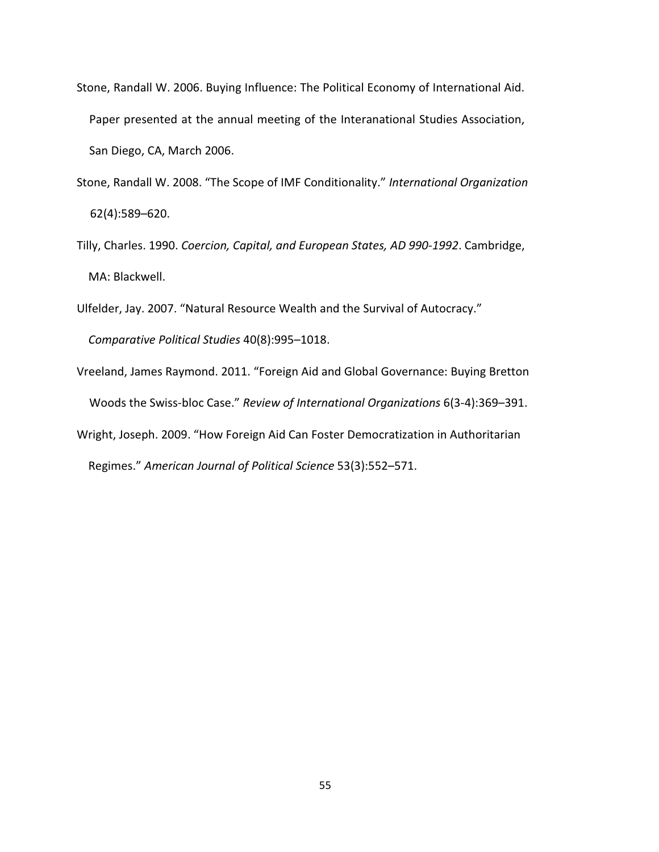- Stone, Randall W. 2006. Buying Influence: The Political Economy of International Aid. Paper presented at the annual meeting of the Interanational Studies Association, San Diego, CA, March 2006.
- Stone, Randall W. 2008. "The Scope of IMF Conditionality." International Organization 62(4):589–620.
- Tilly, Charles. 1990. Coercion, Capital, and European States, AD 990-1992. Cambridge, MA: Blackwell.
- Ulfelder, Jay. 2007. "Natural Resource Wealth and the Survival of Autocracy." Comparative Political Studies 40(8):995–1018.
- Vreeland, James Raymond. 2011. "Foreign Aid and Global Governance: Buying Bretton Woods the Swiss-bloc Case." Review of International Organizations 6(3-4):369–391. Wright, Joseph. 2009. "How Foreign Aid Can Foster Democratization in Authoritarian Regimes." American Journal of Political Science 53(3):552–571.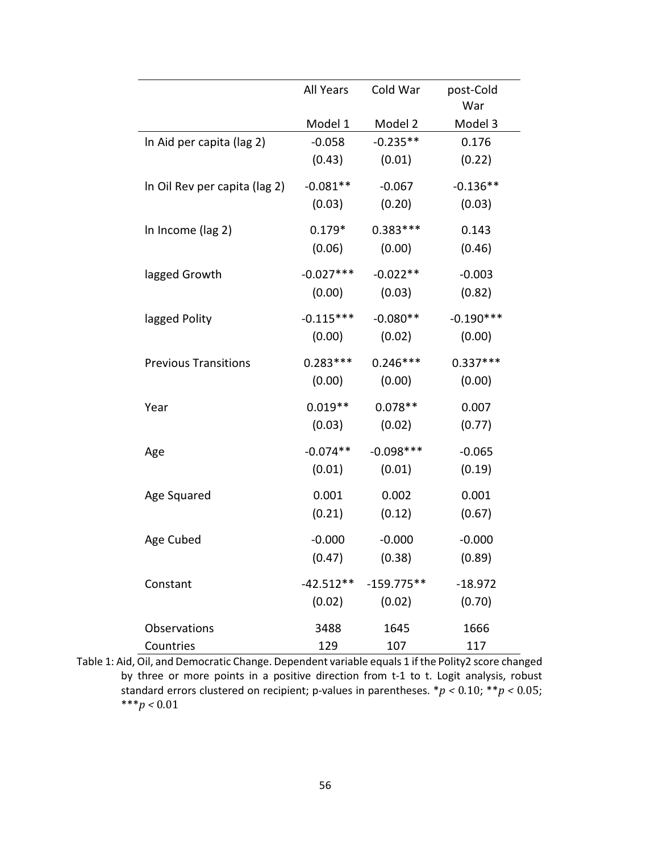|                               | <b>All Years</b> | Cold War     | post-Cold<br>War |
|-------------------------------|------------------|--------------|------------------|
|                               | Model 1          | Model 2      | Model 3          |
| In Aid per capita (lag 2)     | $-0.058$         | $-0.235**$   | 0.176            |
|                               | (0.43)           | (0.01)       | (0.22)           |
| In Oil Rev per capita (lag 2) | $-0.081**$       | $-0.067$     | $-0.136**$       |
|                               | (0.03)           | (0.20)       | (0.03)           |
| In Income (lag 2)             | $0.179*$         | $0.383***$   | 0.143            |
|                               | (0.06)           | (0.00)       | (0.46)           |
| lagged Growth                 | $-0.027***$      | $-0.022**$   | $-0.003$         |
|                               | (0.00)           | (0.03)       | (0.82)           |
| lagged Polity                 | $-0.115***$      | $-0.080**$   | $-0.190***$      |
|                               | (0.00)           | (0.02)       | (0.00)           |
| <b>Previous Transitions</b>   | $0.283***$       | $0.246***$   | $0.337***$       |
|                               | (0.00)           | (0.00)       | (0.00)           |
| Year                          | $0.019**$        | $0.078**$    | 0.007            |
|                               | (0.03)           | (0.02)       | (0.77)           |
| Age                           | $-0.074**$       | $-0.098***$  | $-0.065$         |
|                               | (0.01)           | (0.01)       | (0.19)           |
| Age Squared                   | 0.001            | 0.002        | 0.001            |
|                               | (0.21)           | (0.12)       | (0.67)           |
| Age Cubed                     | $-0.000$         | $-0.000$     | $-0.000$         |
|                               | (0.47)           | (0.38)       | (0.89)           |
| Constant                      | $-42.512**$      | $-159.775**$ | $-18.972$        |
|                               | (0.02)           | (0.02)       | (0.70)           |
| Observations                  | 3488             | 1645         | 1666             |
| Countries                     | 129              | 107          | 117              |

Table 1: Aid, Oil, and Democratic Change. Dependent variable equals 1 if the Polity2 score changed by three or more points in a positive direction from t-1 to t. Logit analysis, robust standard errors clustered on recipient; p-values in parentheses.  $*p < 0.10$ ;  $**p < 0.05$ ; \*\*\* $p < 0.01$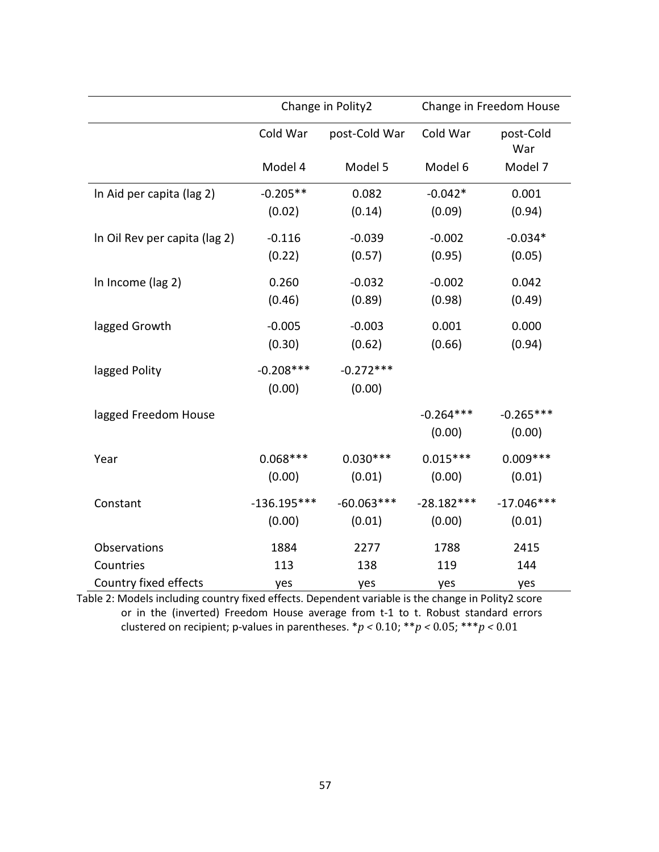|                               | Change in Polity2 |               | Change in Freedom House |                  |
|-------------------------------|-------------------|---------------|-------------------------|------------------|
|                               | Cold War          | post-Cold War | Cold War                | post-Cold<br>War |
|                               | Model 4           | Model 5       | Model 6                 | Model 7          |
| In Aid per capita (lag 2)     | $-0.205**$        | 0.082         | $-0.042*$               | 0.001            |
|                               | (0.02)            | (0.14)        | (0.09)                  | (0.94)           |
| In Oil Rev per capita (lag 2) | $-0.116$          | $-0.039$      | $-0.002$                | $-0.034*$        |
|                               | (0.22)            | (0.57)        | (0.95)                  | (0.05)           |
| In Income (lag 2)             | 0.260             | $-0.032$      | $-0.002$                | 0.042            |
|                               | (0.46)            | (0.89)        | (0.98)                  | (0.49)           |
| lagged Growth                 | $-0.005$          | $-0.003$      | 0.001                   | 0.000            |
|                               | (0.30)            | (0.62)        | (0.66)                  | (0.94)           |
| lagged Polity                 | $-0.208***$       | $-0.272***$   |                         |                  |
|                               | (0.00)            | (0.00)        |                         |                  |
| lagged Freedom House          |                   |               | $-0.264***$             | $-0.265***$      |
|                               |                   |               | (0.00)                  | (0.00)           |
| Year                          | $0.068***$        | $0.030***$    | $0.015***$              | $0.009***$       |
|                               | (0.00)            | (0.01)        | (0.00)                  | (0.01)           |
| Constant                      | $-136.195***$     | $-60.063***$  | $-28.182***$            | $-17.046***$     |
|                               | (0.00)            | (0.01)        | (0.00)                  | (0.01)           |
| Observations                  | 1884              | 2277          | 1788                    | 2415             |
| Countries                     | 113               | 138           | 119                     | 144              |
| Country fixed effects         | yes               | yes           | yes                     | yes              |

Table 2: Models including country fixed effects. Dependent variable is the change in Polity2 score or in the (inverted) Freedom House average from t-1 to t. Robust standard errors clustered on recipient; p-values in parentheses.  $\frac{*p}{<}0.10; \frac{***p}{<}0.05; \frac{***p}{<}0.01$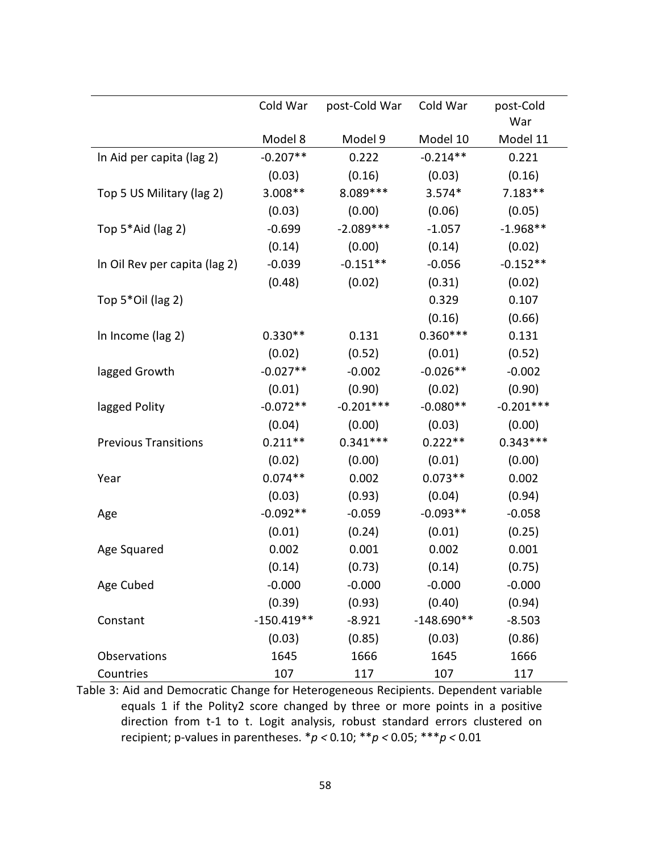|                               | Cold War     | post-Cold War | Cold War     | post-Cold<br>War |
|-------------------------------|--------------|---------------|--------------|------------------|
|                               | Model 8      | Model 9       | Model 10     | Model 11         |
| In Aid per capita (lag 2)     | $-0.207**$   | 0.222         | $-0.214**$   | 0.221            |
|                               | (0.03)       | (0.16)        | (0.03)       | (0.16)           |
| Top 5 US Military (lag 2)     | $3.008**$    | 8.089 ***     | $3.574*$     | $7.183**$        |
|                               | (0.03)       | (0.00)        | (0.06)       | (0.05)           |
| Top 5*Aid (lag 2)             | $-0.699$     | $-2.089***$   | $-1.057$     | $-1.968**$       |
|                               | (0.14)       | (0.00)        | (0.14)       | (0.02)           |
| In Oil Rev per capita (lag 2) | $-0.039$     | $-0.151**$    | $-0.056$     | $-0.152**$       |
|                               | (0.48)       | (0.02)        | (0.31)       | (0.02)           |
| Top 5*Oil (lag 2)             |              |               | 0.329        | 0.107            |
|                               |              |               | (0.16)       | (0.66)           |
| In Income (lag 2)             | $0.330**$    | 0.131         | $0.360***$   | 0.131            |
|                               | (0.02)       | (0.52)        | (0.01)       | (0.52)           |
| lagged Growth                 | $-0.027**$   | $-0.002$      | $-0.026**$   | $-0.002$         |
|                               | (0.01)       | (0.90)        | (0.02)       | (0.90)           |
| lagged Polity                 | $-0.072**$   | $-0.201***$   | $-0.080**$   | $-0.201***$      |
|                               | (0.04)       | (0.00)        | (0.03)       | (0.00)           |
| <b>Previous Transitions</b>   | $0.211**$    | $0.341***$    | $0.222**$    | $0.343***$       |
|                               | (0.02)       | (0.00)        | (0.01)       | (0.00)           |
| Year                          | $0.074**$    | 0.002         | $0.073**$    | 0.002            |
|                               | (0.03)       | (0.93)        | (0.04)       | (0.94)           |
| Age                           | $-0.092**$   | $-0.059$      | $-0.093**$   | $-0.058$         |
|                               | (0.01)       | (0.24)        | (0.01)       | (0.25)           |
| Age Squared                   | 0.002        | 0.001         | 0.002        | 0.001            |
|                               | (0.14)       | (0.73)        | (0.14)       | (0.75)           |
| Age Cubed                     | $-0.000$     | $-0.000$      | $-0.000$     | $-0.000$         |
|                               | (0.39)       | (0.93)        | (0.40)       | (0.94)           |
| Constant                      | $-150.419**$ | $-8.921$      | $-148.690**$ | $-8.503$         |
|                               | (0.03)       | (0.85)        | (0.03)       | (0.86)           |
| <b>Observations</b>           | 1645         | 1666          | 1645         | 1666             |
| Countries                     | 107          | 117           | 107          | 117              |

Table 3: Aid and Democratic Change for Heterogeneous Recipients. Dependent variable equals 1 if the Polity2 score changed by three or more points in a positive direction from t-1 to t. Logit analysis, robust standard errors clustered on recipient; p-values in parentheses.  ${}^{*}p$  < 0.10;  ${}^{**}p$  < 0.05;  ${}^{**}p$  < 0.01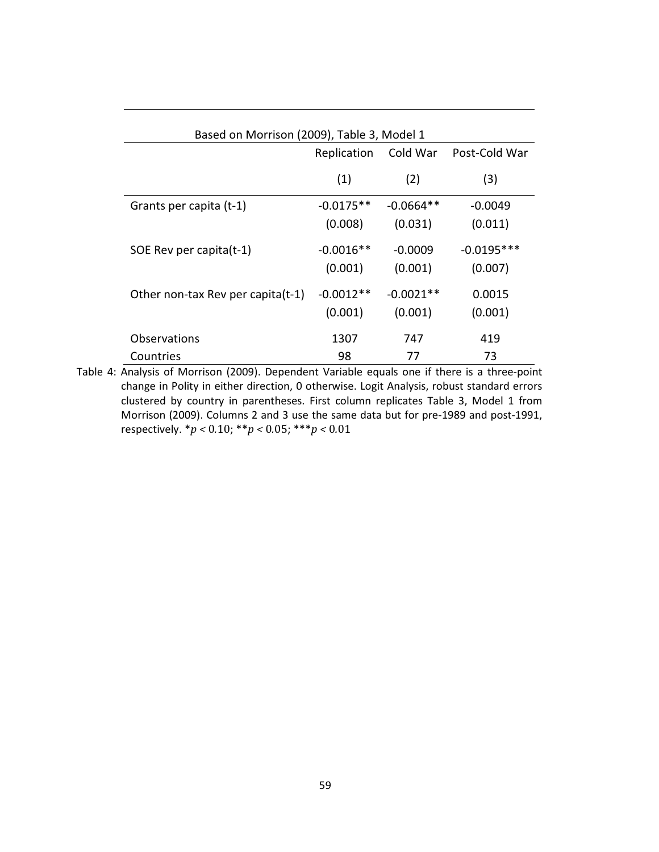| Based on Morrison (2009), Table 3, Model 1 |             |             |               |
|--------------------------------------------|-------------|-------------|---------------|
|                                            | Replication | Cold War    | Post-Cold War |
|                                            | (1)         | (2)         | (3)           |
| Grants per capita (t-1)                    | $-0.0175**$ | $-0.0664**$ | $-0.0049$     |
|                                            | (0.008)     | (0.031)     | (0.011)       |
| SOE Rev per capita(t-1)                    | $-0.0016**$ | $-0.0009$   | $-0.0195***$  |
|                                            | (0.001)     | (0.001)     | (0.007)       |
| Other non-tax Rev per capita(t-1)          | $-0.0012**$ | $-0.0021**$ | 0.0015        |
|                                            | (0.001)     | (0.001)     | (0.001)       |
| Observations                               | 1307        | 747         | 419           |
| Countries                                  | 98          | 77          | 73            |

Table 4: Analysis of Morrison (2009). Dependent Variable equals one if there is a three-point change in Polity in either direction, 0 otherwise. Logit Analysis, robust standard errors clustered by country in parentheses. First column replicates Table 3, Model 1 from Morrison (2009). Columns 2 and 3 use the same data but for pre-1989 and post-1991, respectively.  ${}^*p$  < 0.10;  ${}^{**}p$  < 0.05;  ${}^{***}p$  < 0.01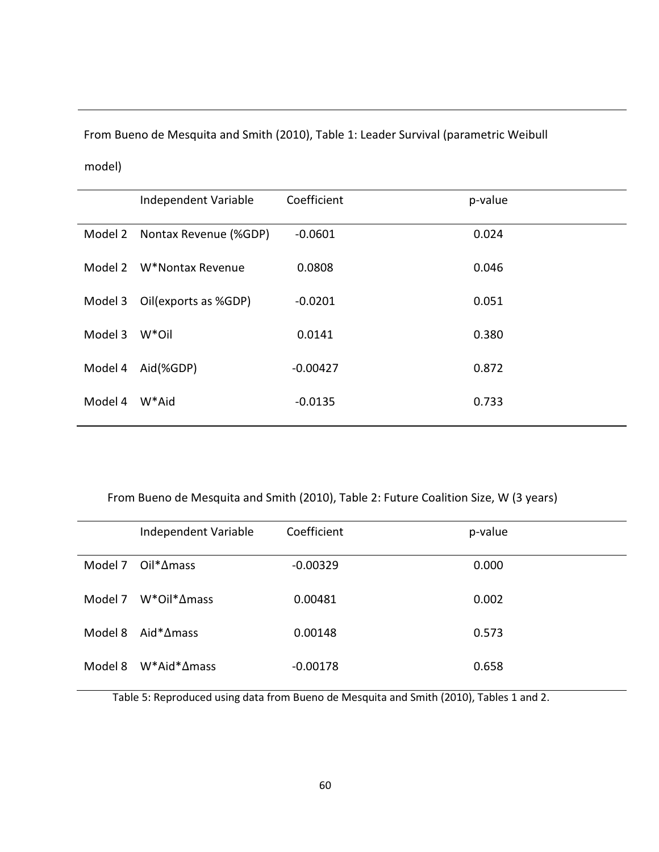From Bueno de Mesquita and Smith (2010), Table 1: Leader Survival (parametric Weibull

model)

|         | Independent Variable     | Coefficient | p-value |
|---------|--------------------------|-------------|---------|
| Model 2 | Nontax Revenue (%GDP)    | $-0.0601$   | 0.024   |
|         | Model 2 W*Nontax Revenue | 0.0808      | 0.046   |
| Model 3 | Oil(exports as %GDP)     | $-0.0201$   | 0.051   |
| Model 3 | W*Oil                    | 0.0141      | 0.380   |
| Model 4 | Aid(%GDP)                | $-0.00427$  | 0.872   |
| Model 4 | W*Aid                    | $-0.0135$   | 0.733   |
|         |                          |             |         |

From Bueno de Mesquita and Smith (2010), Table 2: Future Coalition Size, W (3 years)

|         | Independent Variable        | Coefficient | p-value |
|---------|-----------------------------|-------------|---------|
|         | Model 7 $Oil^* \Delta$ mass | $-0.00329$  | 0.000   |
| Model 7 | $W^*$ Oil $^*\Delta$ mass   | 0.00481     | 0.002   |
| Model 8 | Aid* $\Delta$ mass          | 0.00148     | 0.573   |
| Model 8 | $W^*$ Aid $^*\Delta$ mass   | $-0.00178$  | 0.658   |

Table 5: Reproduced using data from Bueno de Mesquita and Smith (2010), Tables 1 and 2.